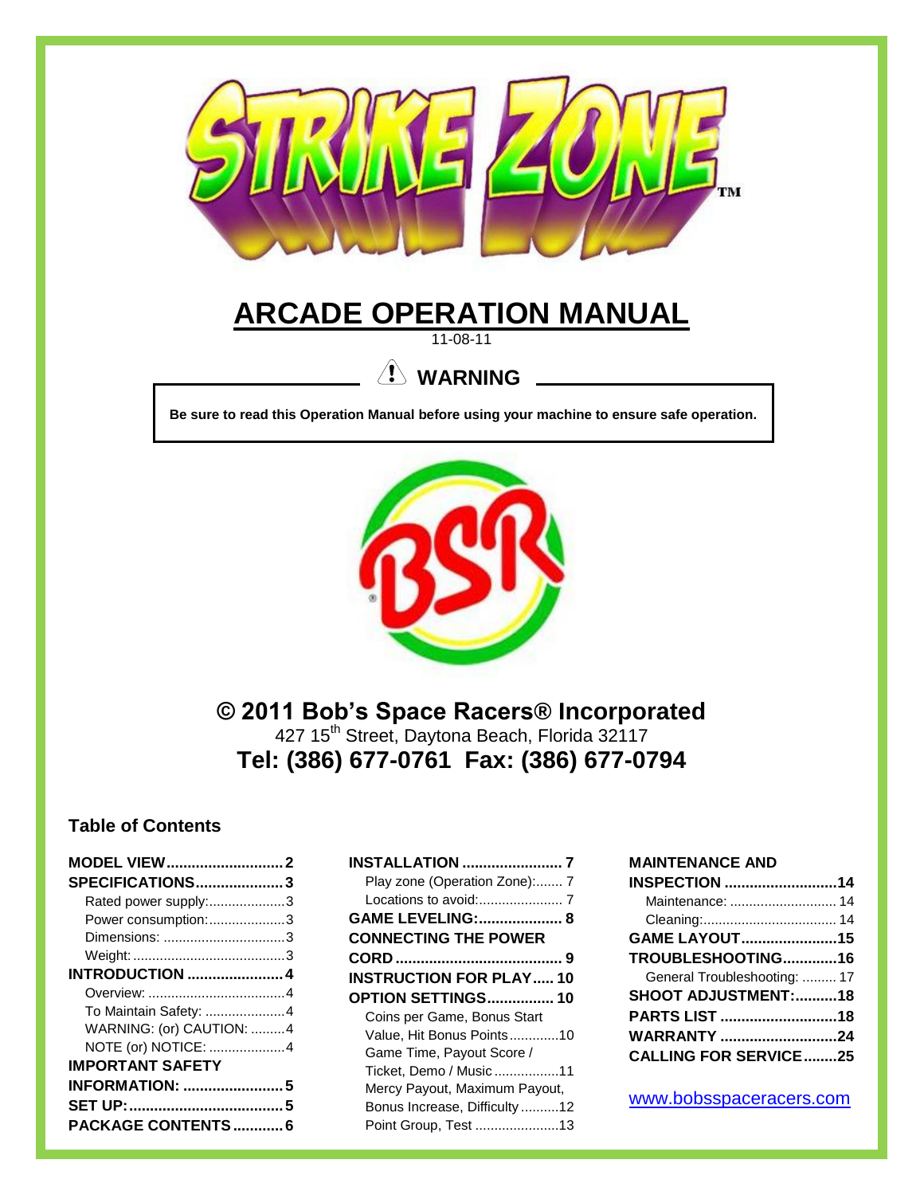

# **ARCADE OPERATION MANUAL**

11-08-11

# **WARNING**

**Be sure to read this Operation Manual before using your machine to ensure safe operation.**



**© 2011 Bob's Space Racers® Incorporated** 427 15<sup>th</sup> Street, Daytona Beach, Florida 32117 **Tel: (386) 677-0761 Fax: (386) 677-0794**

#### <span id="page-0-0"></span>**Table of Contents**

| <b>MODEL VIEW2</b>       |  |
|--------------------------|--|
| SPECIFICATIONS3          |  |
| Rated power supply:3     |  |
| Power consumption:3      |  |
| Dimensions: 3            |  |
|                          |  |
| <b>INTRODUCTION  4</b>   |  |
|                          |  |
| To Maintain Safety: 4    |  |
| WARNING: (or) CAUTION: 4 |  |
| NOTE (or) NOTICE: 4      |  |
| <b>IMPORTANT SAFETY</b>  |  |
| <b>INFORMATION:  5</b>   |  |
|                          |  |
| PACKAGE CONTENTS 6       |  |

| <b>INSTALLATION</b> 7          |  |
|--------------------------------|--|
| Play zone (Operation Zone): 7  |  |
|                                |  |
| <b>GAME LEVELING: 8</b>        |  |
| <b>CONNECTING THE POWER</b>    |  |
|                                |  |
| <b>INSTRUCTION FOR PLAY 10</b> |  |
| OPTION SETTINGS 10             |  |
| Coins per Game, Bonus Start    |  |
| Value, Hit Bonus Points10      |  |
| Game Time, Payout Score /      |  |
| Ticket, Demo / Music 11        |  |
| Mercy Payout, Maximum Payout,  |  |
| Bonus Increase, Difficulty12   |  |
| Point Group, Test 13           |  |

#### **[MAINTENANCE AND](#page-13-0)**

| <b>INSPECTION</b> 14         |  |
|------------------------------|--|
| Maintenance:  14             |  |
|                              |  |
| GAME LAYOUT15                |  |
| TROUBLESHOOTING16            |  |
| General Troubleshooting:  17 |  |
| SHOOT ADJUSTMENT:18          |  |
| <b>PARTS LIST 18</b>         |  |
| <b>WARRANTY</b> 24           |  |
| <b>CALLING FOR SERVICE25</b> |  |

[www.bobsspaceracers.com](http://www.bobsspaceracers.com/)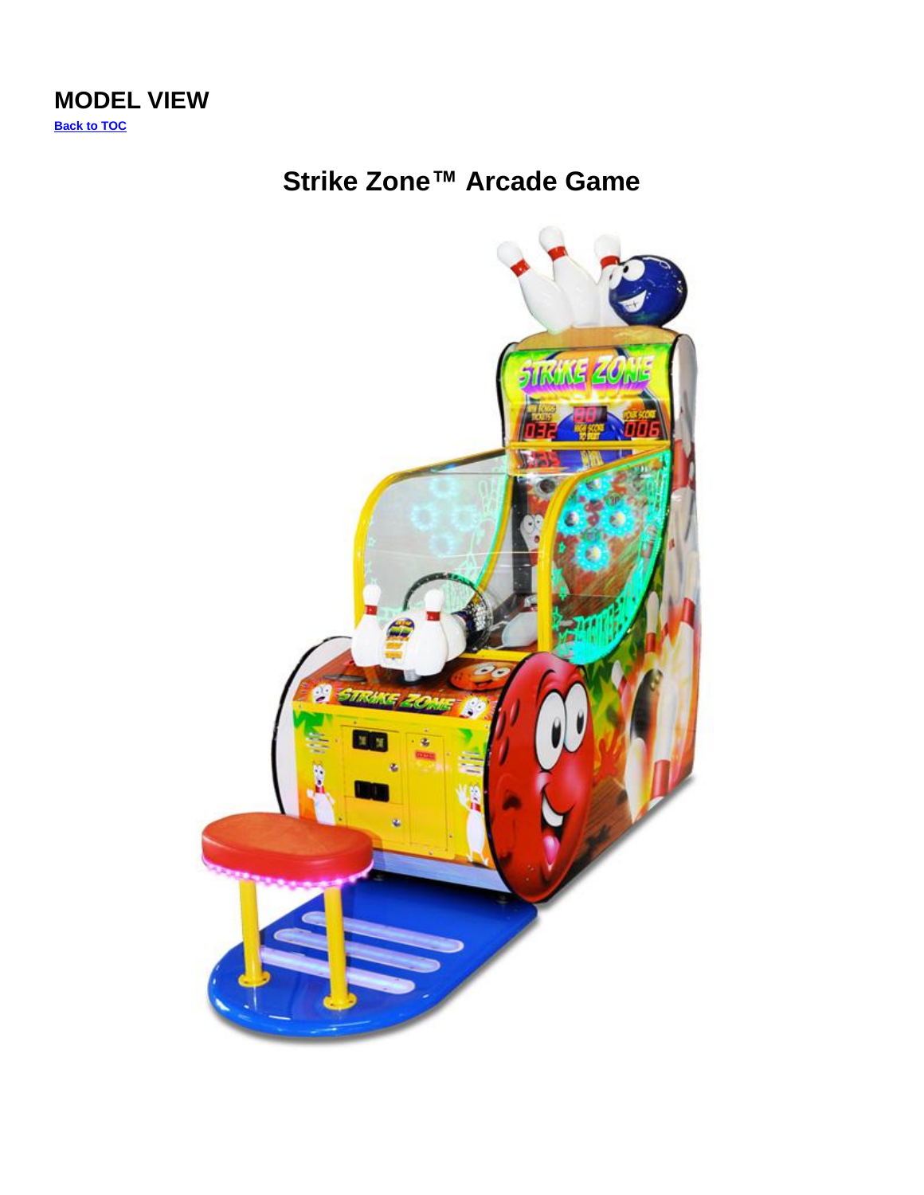# **Strike Zone™ Arcade Game**

<span id="page-1-0"></span>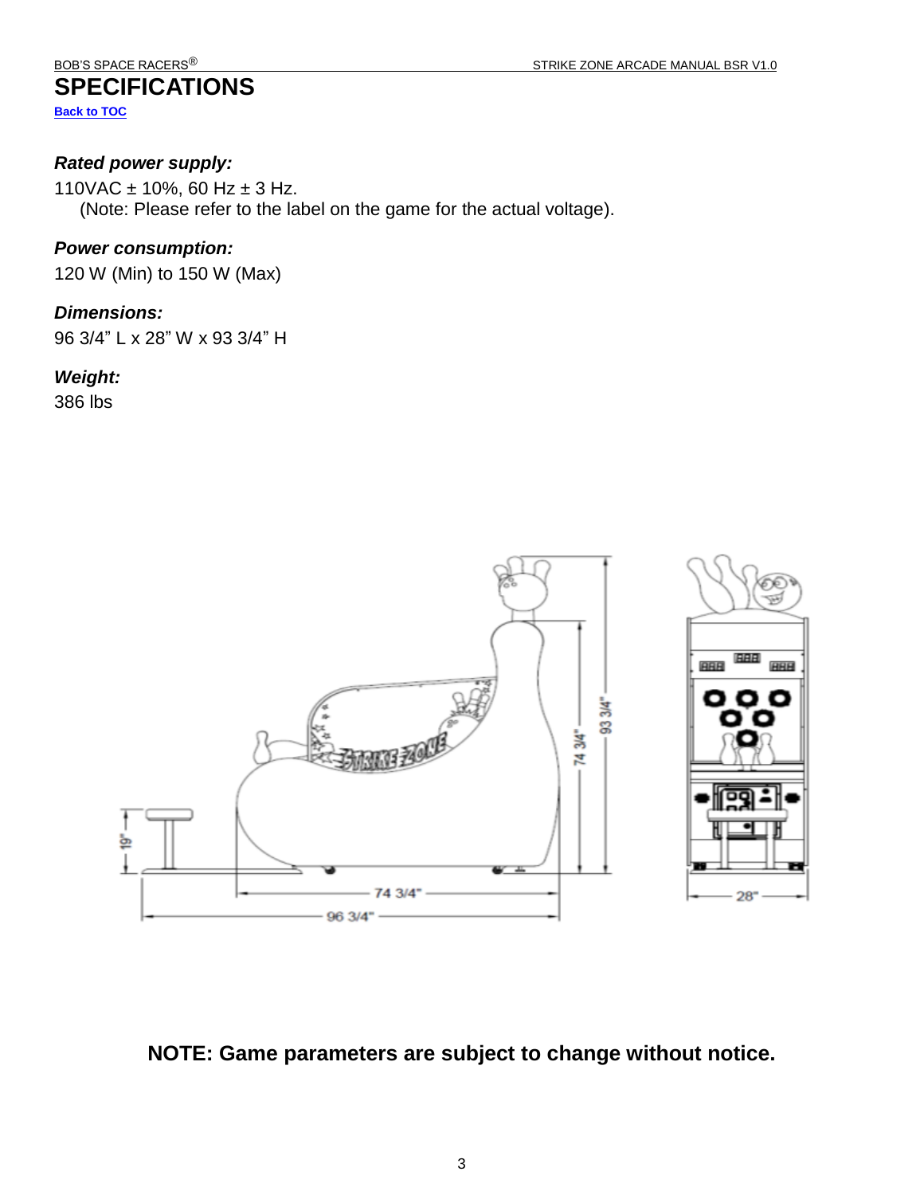## <span id="page-2-0"></span>**SPECIFICATIONS**

**[Back to TOC](#page-0-0)**

### <span id="page-2-1"></span>*Rated power supply:*

110VAC ± 10%, 60 Hz ± 3 Hz. (Note: Please refer to the label on the game for the actual voltage).

#### <span id="page-2-2"></span>*Power consumption:*

120 W (Min) to 150 W (Max)

#### <span id="page-2-3"></span>*Dimensions:*

96 3/4" L x 28" W x 93 3/4" H

### <span id="page-2-4"></span>*Weight:*

386 lbs



# **NOTE: Game parameters are subject to change without notice.**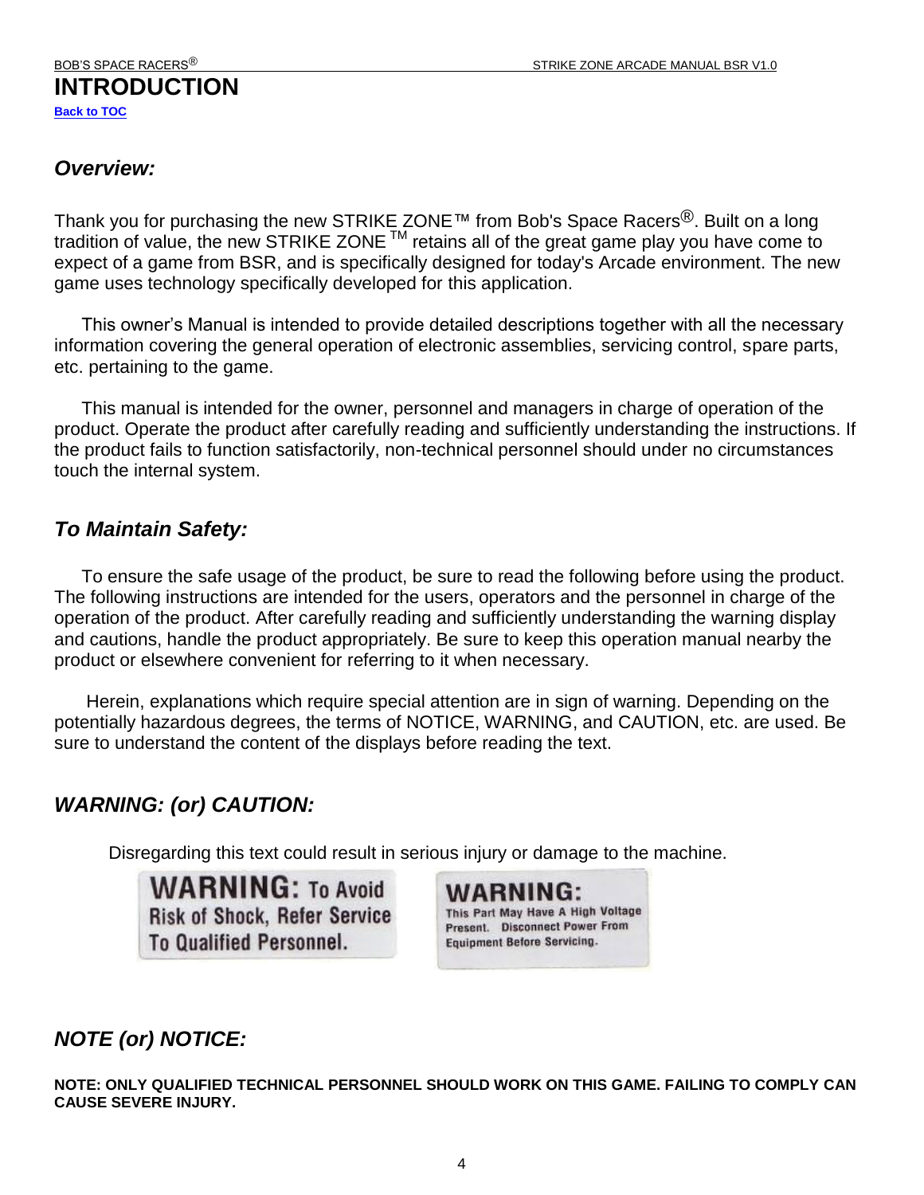# <span id="page-3-1"></span><span id="page-3-0"></span>*Overview:*

Thank you for purchasing the new STRIKE ZONE™ from Bob's Space Racers<sup>®</sup>. Built on a long tradition of value, the new STRIKE ZONE  $^{TM}$  retains all of the great game play you have come to expect of a game from BSR, and is specifically designed for today's Arcade environment. The new game uses technology specifically developed for this application.

This owner's Manual is intended to provide detailed descriptions together with all the necessary information covering the general operation of electronic assemblies, servicing control, spare parts, etc. pertaining to the game.

This manual is intended for the owner, personnel and managers in charge of operation of the product. Operate the product after carefully reading and sufficiently understanding the instructions. If the product fails to function satisfactorily, non-technical personnel should under no circumstances touch the internal system.

# <span id="page-3-2"></span>*To Maintain Safety:*

To ensure the safe usage of the product, be sure to read the following before using the product. The following instructions are intended for the users, operators and the personnel in charge of the operation of the product. After carefully reading and sufficiently understanding the warning display and cautions, handle the product appropriately. Be sure to keep this operation manual nearby the product or elsewhere convenient for referring to it when necessary.

Herein, explanations which require special attention are in sign of warning. Depending on the potentially hazardous degrees, the terms of NOTICE, WARNING, and CAUTION, etc. are used. Be sure to understand the content of the displays before reading the text.

# <span id="page-3-3"></span>*WARNING: (or) CAUTION:*

Disregarding this text could result in serious injury or damage to the machine.

**WARNING: To Avoid Risk of Shock, Refer Service To Qualified Personnel.** 

WARNING: This Part May Have A High Voltage

Present. Disconnect Power From **Equipment Before Servicing.** 

# <span id="page-3-4"></span>*NOTE (or) NOTICE:*

**NOTE: ONLY QUALIFIED TECHNICAL PERSONNEL SHOULD WORK ON THIS GAME. FAILING TO COMPLY CAN CAUSE SEVERE INJURY.**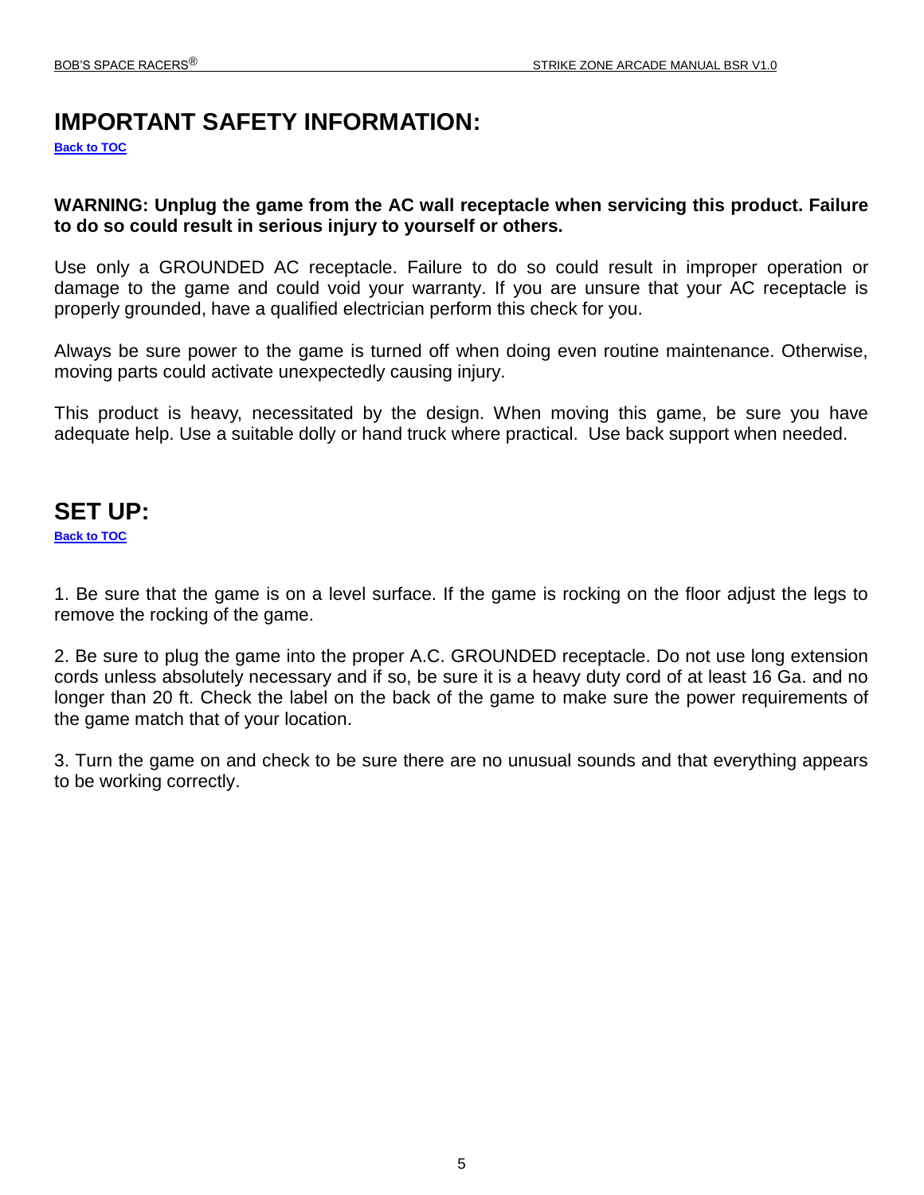# <span id="page-4-0"></span>**IMPORTANT SAFETY INFORMATION:**

**[Back to TOC](#page-0-0)**

**WARNING: Unplug the game from the AC wall receptacle when servicing this product. Failure to do so could result in serious injury to yourself or others.**

Use only a GROUNDED AC receptacle. Failure to do so could result in improper operation or damage to the game and could void your warranty. If you are unsure that your AC receptacle is properly grounded, have a qualified electrician perform this check for you.

Always be sure power to the game is turned off when doing even routine maintenance. Otherwise, moving parts could activate unexpectedly causing injury.

This product is heavy, necessitated by the design. When moving this game, be sure you have adequate help. Use a suitable dolly or hand truck where practical. Use back support when needed.

# <span id="page-4-1"></span>**SET UP:**

**[Back to TOC](#page-0-0)**

1. Be sure that the game is on a level surface. If the game is rocking on the floor adjust the legs to remove the rocking of the game.

2. Be sure to plug the game into the proper A.C. GROUNDED receptacle. Do not use long extension cords unless absolutely necessary and if so, be sure it is a heavy duty cord of at least 16 Ga. and no longer than 20 ft. Check the label on the back of the game to make sure the power requirements of the game match that of your location.

3. Turn the game on and check to be sure there are no unusual sounds and that everything appears to be working correctly.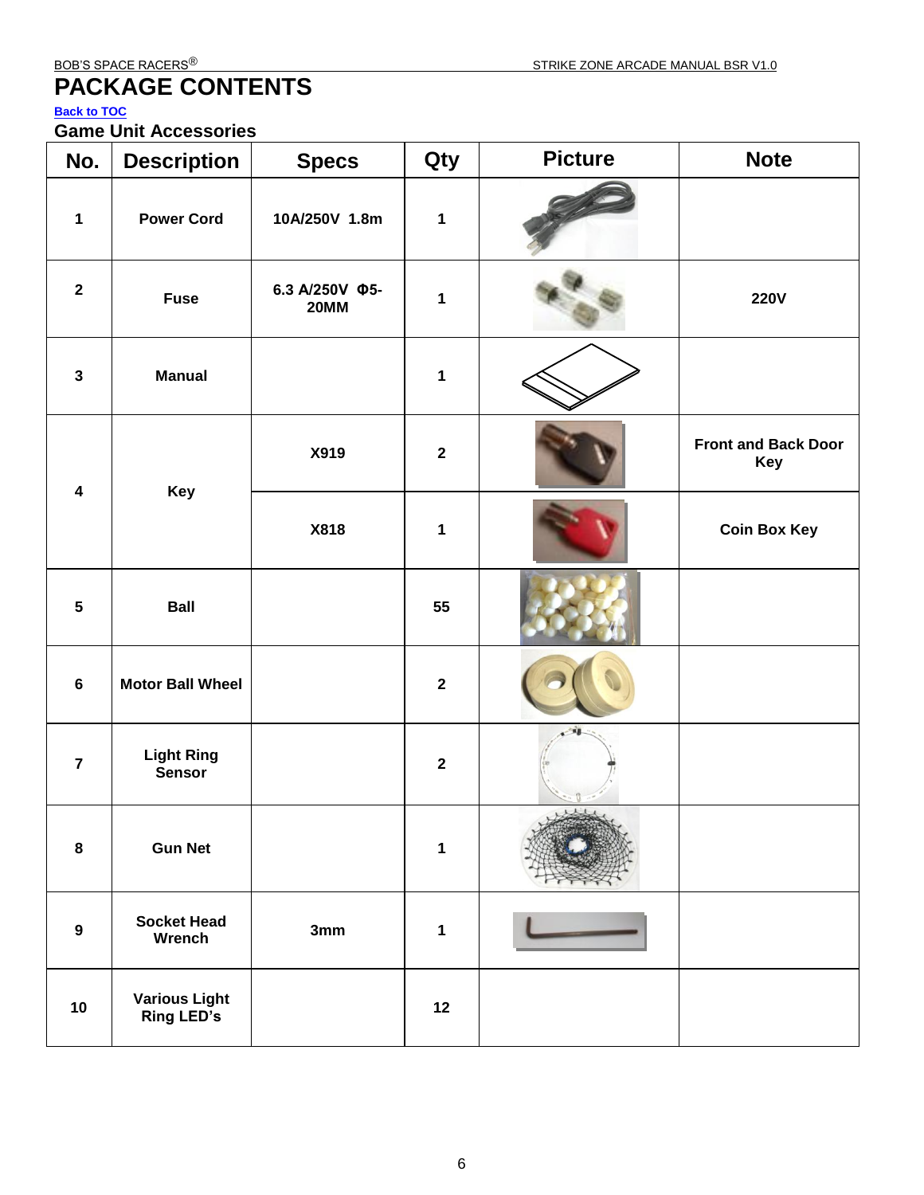# <span id="page-5-0"></span>**PACKAGE CONTENTS**

#### **[Back to TOC](#page-0-0)**

### **Game Unit Accessories**

| No.                     | <b>Description</b>                 | <b>Specs</b>                  | Qty          | <b>Picture</b> | <b>Note</b>                       |
|-------------------------|------------------------------------|-------------------------------|--------------|----------------|-----------------------------------|
| $\mathbf 1$             | <b>Power Cord</b>                  | 10A/250V 1.8m                 | $\mathbf 1$  |                |                                   |
| $\mathbf 2$             | <b>Fuse</b>                        | 6.3 A/250V Φ5-<br><b>20MM</b> | $\mathbf 1$  |                | <b>220V</b>                       |
| $\mathbf{3}$            | <b>Manual</b>                      |                               | $\mathbf 1$  |                |                                   |
| $\overline{\mathbf{4}}$ |                                    | X919                          | $\mathbf{2}$ |                | <b>Front and Back Door</b><br>Key |
|                         | Key                                | X818                          | 1            |                | <b>Coin Box Key</b>               |
| $\overline{\mathbf{5}}$ | <b>Ball</b>                        |                               | 55           |                |                                   |
| $\bf 6$                 | <b>Motor Ball Wheel</b>            |                               | $\mathbf 2$  |                |                                   |
| $\overline{7}$          | <b>Light Ring</b><br><b>Sensor</b> |                               | $\mathbf{2}$ |                |                                   |
| 8                       | <b>Gun Net</b>                     |                               | $\mathbf{1}$ | Nothing 1      |                                   |
| $\boldsymbol{9}$        | <b>Socket Head</b><br>Wrench       | 3mm                           | $\mathbf 1$  |                |                                   |
| 10                      | <b>Various Light</b><br>Ring LED's |                               | 12           |                |                                   |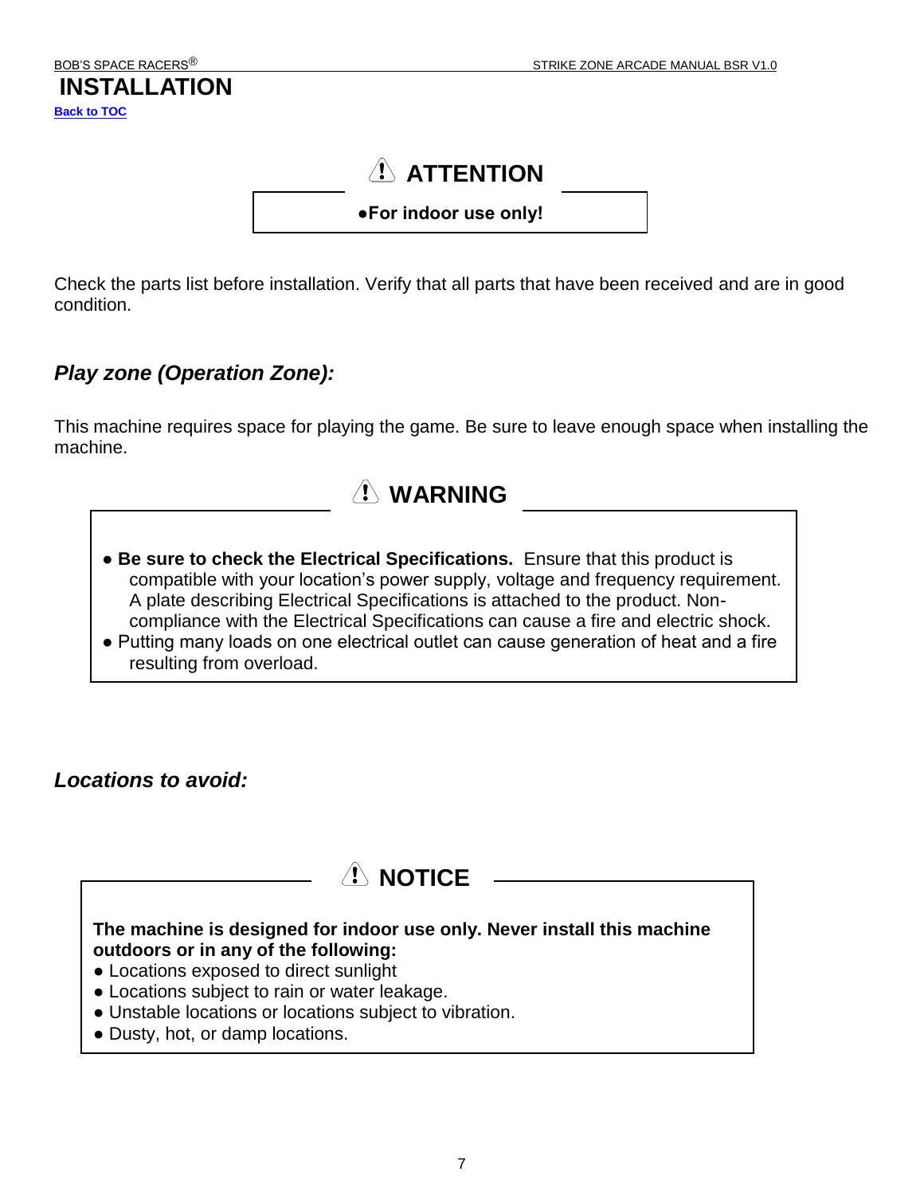<span id="page-6-0"></span>**[Back to TOC](#page-0-0)**

# **ATTENTION**

**●For indoor use only!**

Check the parts list before installation. Verify that all parts that have been received and are in good condition.

# <span id="page-6-1"></span>*Play zone (Operation Zone):*

This machine requires space for playing the game. Be sure to leave enough space when installing the machine.

# **WARNING**

- **Be sure to check the Electrical Specifications.** Ensure that this product is compatible with your location's power supply, voltage and frequency requirement. A plate describing Electrical Specifications is attached to the product. Noncompliance with the Electrical Specifications can cause a fire and electric shock.
- Putting many loads on one electrical outlet can cause generation of heat and a fire resulting from overload.

<span id="page-6-2"></span>*Locations to avoid:*

# A **NOTICE**

**The machine is designed for indoor use only. Never install this machine outdoors or in any of the following:** 

- Locations exposed to direct sunlight
- Locations subject to rain or water leakage.
- Unstable locations or locations subject to vibration.
- Dusty, hot, or damp locations.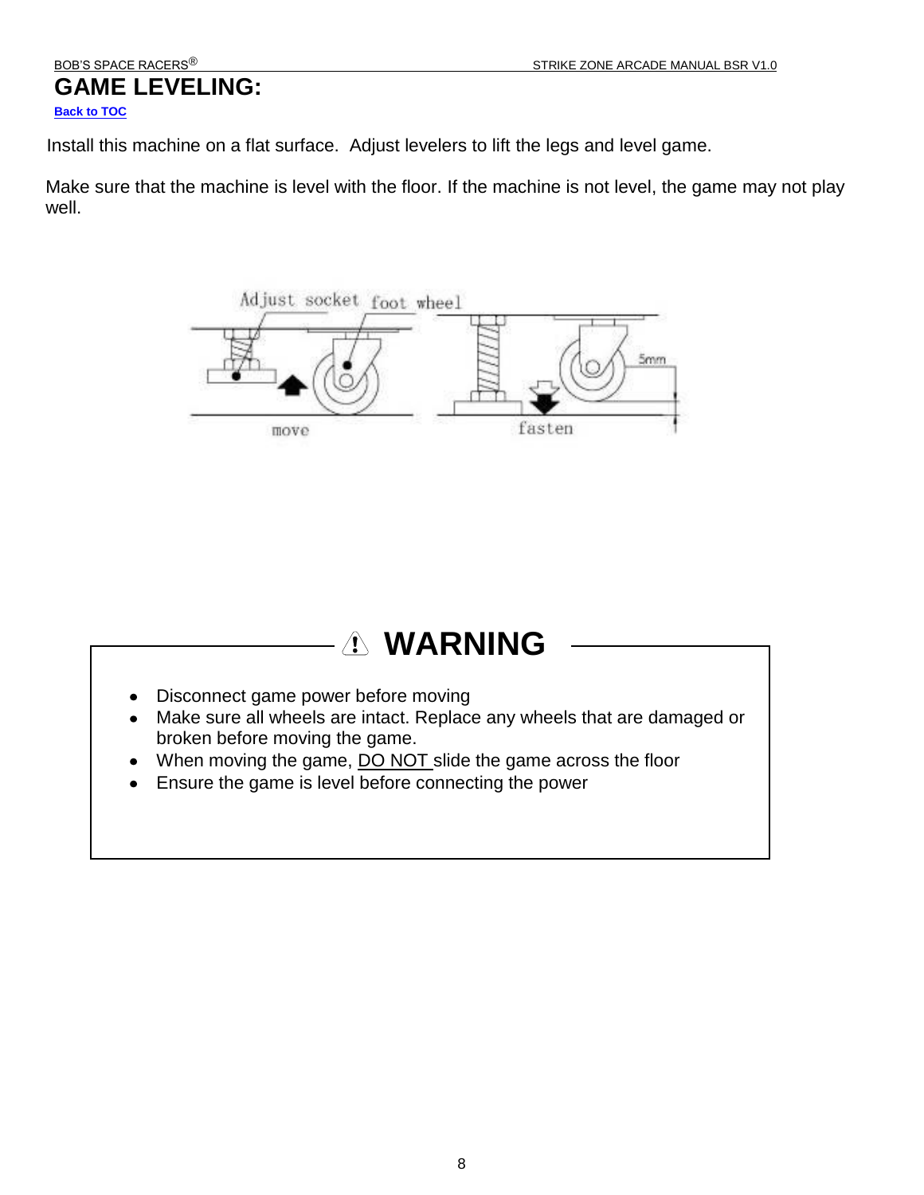# <span id="page-7-0"></span>**GAME LEVELING:**

#### **[Back to TOC](#page-0-0)**

Install this machine on a flat surface. Adjust levelers to lift the legs and level game.

Make sure that the machine is level with the floor. If the machine is not level, the game may not play well.



# **WARNING**

- Disconnect game power before moving  $\bullet$
- Make sure all wheels are intact. Replace any wheels that are damaged or broken before moving the game.
- When moving the game, **DO NOT** slide the game across the floor
- Ensure the game is level before connecting the power  $\bullet$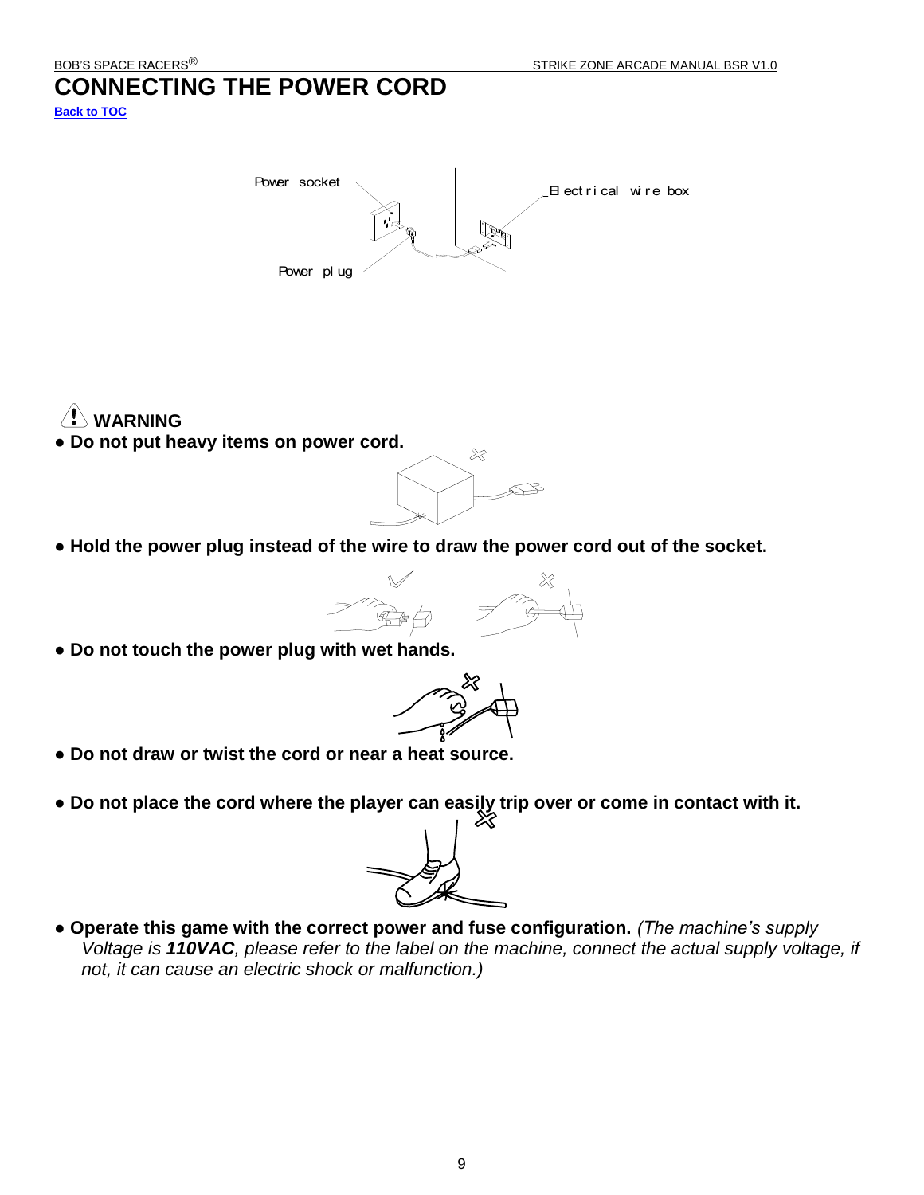**[Back to TOC](#page-0-0)**

<span id="page-8-0"></span>



● **Do not put heavy items on power cord.**



● **Hold the power plug instead of the wire to draw the power cord out of the socket.**



● **Do not touch the power plug with wet hands.**



- **Do not draw or twist the cord or near a heat source.**
- Do not place the cord where the player can easily trip over or come in contact with it.



**● Operate this game with the correct power and fuse configuration.** *(The machine's supply Voltage is 110VAC, please refer to the label on the machine, connect the actual supply voltage, if not, it can cause an electric shock or malfunction.)*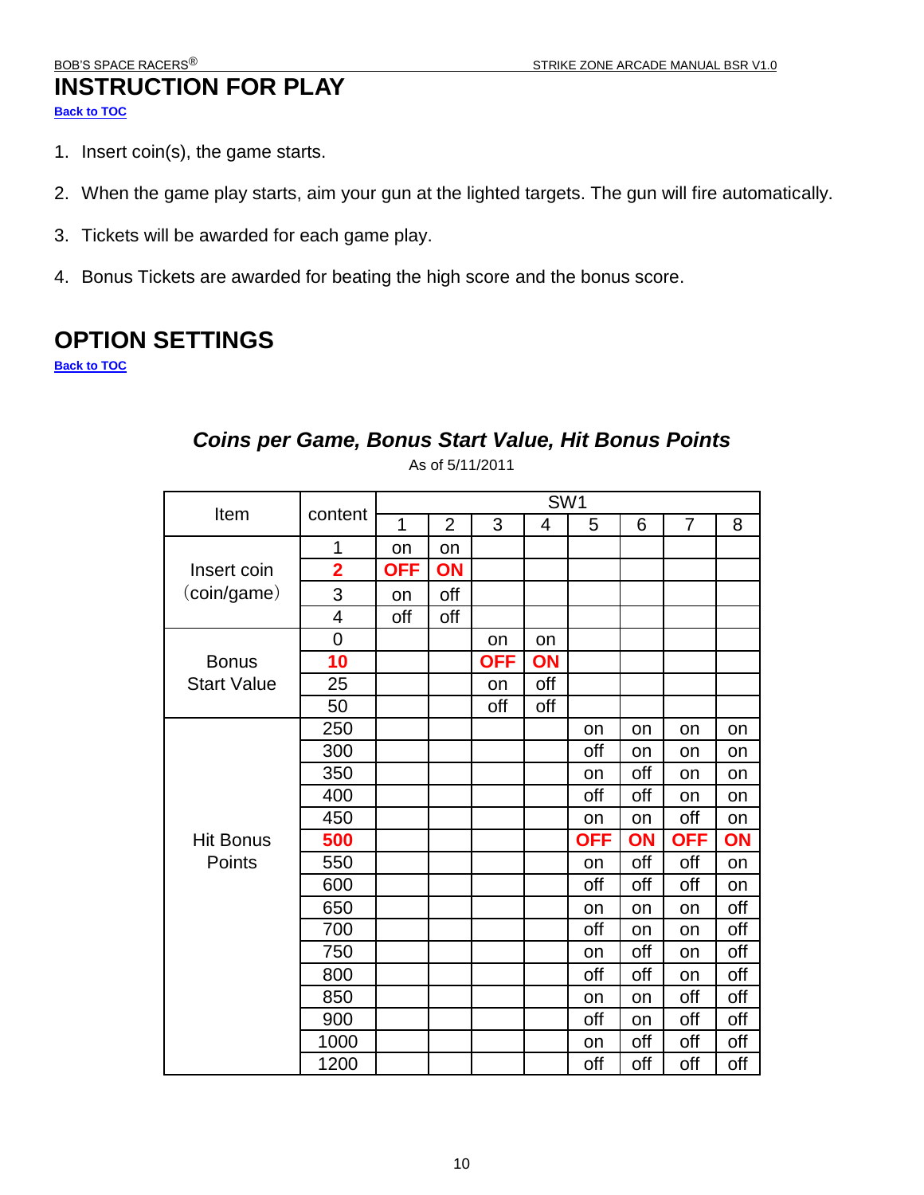### <span id="page-9-0"></span>**INSTRUCTION FOR PLAY [Back to TOC](#page-0-0)**

- 
- 1. Insert coin(s), the game starts.
- 2. When the game play starts, aim your gun at the lighted targets. The gun will fire automatically.
- 3. Tickets will be awarded for each game play.
- 4. Bonus Tickets are awarded for beating the high score and the bonus score.

# <span id="page-9-1"></span>**OPTION SETTINGS**

<span id="page-9-2"></span>**[Back to TOC](#page-0-0)**

# *Coins per Game, Bonus Start Value, Hit Bonus Points*

| Item               | content                 |            |                |            | SW <sub>1</sub> |            |     |            |     |
|--------------------|-------------------------|------------|----------------|------------|-----------------|------------|-----|------------|-----|
|                    |                         | 1          | $\overline{2}$ | 3          | 4               | 5          | 6   | 7          | 8   |
|                    | 1                       | on         | on             |            |                 |            |     |            |     |
| Insert coin        | $\overline{\mathbf{2}}$ | <b>OFF</b> | ON             |            |                 |            |     |            |     |
| (coin/game)        | 3                       | on         | off            |            |                 |            |     |            |     |
|                    | $\overline{4}$          | off        | off            |            |                 |            |     |            |     |
|                    | $\overline{0}$          |            |                | on         | on              |            |     |            |     |
| <b>Bonus</b>       | 10                      |            |                | <b>OFF</b> | ON              |            |     |            |     |
| <b>Start Value</b> | 25                      |            |                | on         | off             |            |     |            |     |
|                    | 50                      |            |                | off        | off             |            |     |            |     |
|                    | 250                     |            |                |            |                 | on         | on  | on         | on  |
|                    | 300                     |            |                |            |                 | off        | on  | on         | on  |
|                    | 350                     |            |                |            |                 | on         | off | on         | on  |
|                    | 400                     |            |                |            |                 | off        | off | on         | on  |
|                    | 450                     |            |                |            |                 | on         | on  | off        | on  |
| <b>Hit Bonus</b>   | 500                     |            |                |            |                 | <b>OFF</b> | ON  | <b>OFF</b> | ON  |
| Points             | 550                     |            |                |            |                 | on         | off | off        | on  |
|                    | 600                     |            |                |            |                 | off        | off | off        | on  |
|                    | 650                     |            |                |            |                 | on         | on  | on         | off |
|                    | 700                     |            |                |            |                 | off        | on  | on         | off |
|                    | 750                     |            |                |            |                 | on         | off | on         | off |
|                    | 800                     |            |                |            |                 | off        | off | on         | off |
|                    | 850                     |            |                |            |                 | on         | on  | off        | off |
|                    | 900                     |            |                |            |                 | off        | on  | off        | off |
|                    | 1000                    |            |                |            |                 | on         | off | off        | off |
|                    | 1200                    |            |                |            |                 | off        | off | off        | off |

As of 5/11/2011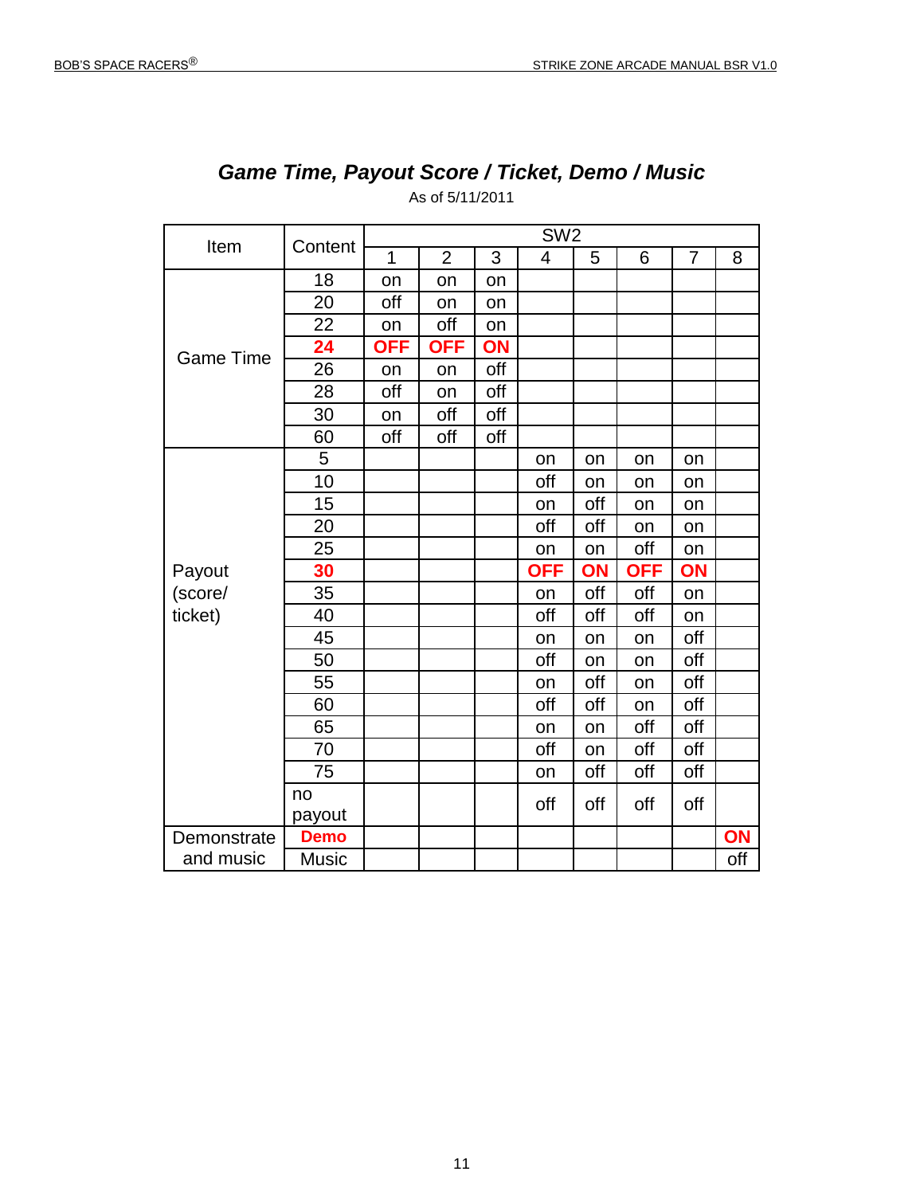<span id="page-10-0"></span>

| Item             | Content      |             |                |     | SW <sub>2</sub> |     |            |                |     |
|------------------|--------------|-------------|----------------|-----|-----------------|-----|------------|----------------|-----|
|                  |              | $\mathbf 1$ | $\overline{2}$ | 3   | 4               | 5   | 6          | $\overline{7}$ | 8   |
|                  | 18           | on          | on             | on  |                 |     |            |                |     |
|                  | 20           | off         | on             | on  |                 |     |            |                |     |
|                  | 22           | on          | off            | on  |                 |     |            |                |     |
| <b>Game Time</b> | 24           | <b>OFF</b>  | <b>OFF</b>     | ON  |                 |     |            |                |     |
|                  | 26           | on          | on             | off |                 |     |            |                |     |
|                  | 28           | off         | on             | off |                 |     |            |                |     |
|                  | 30           | on          | off            | off |                 |     |            |                |     |
|                  | 60           | off         | off            | off |                 |     |            |                |     |
|                  | 5            |             |                |     | on              | on  | on         | on             |     |
|                  | 10           |             |                |     | off             | on  | on         | on             |     |
|                  | 15           |             |                |     | on              | off | on         | on             |     |
|                  | 20           |             |                |     | off             | off | on         | on             |     |
|                  | 25           |             |                |     | on              | on  | off        | on             |     |
| Payout           | 30           |             |                |     | <b>OFF</b>      | ON  | <b>OFF</b> | ON             |     |
| (score/          | 35           |             |                |     | on              | off | off        | on             |     |
| ticket)          | 40           |             |                |     | off             | off | off        | on             |     |
|                  | 45           |             |                |     | on              | on  | on         | off            |     |
|                  | 50           |             |                |     | off             | on  | on         | off            |     |
|                  | 55           |             |                |     | on              | off | on         | off            |     |
|                  | 60           |             |                |     | off             | off | on         | off            |     |
|                  | 65           |             |                |     | on              | on  | off        | off            |     |
|                  | 70           |             |                |     | off             | on  | off        | off            |     |
|                  | 75           |             |                |     | on              | off | off        | off            |     |
|                  | no<br>payout |             |                |     | off             | off | off        | off            |     |
| Demonstrate      | <b>Demo</b>  |             |                |     |                 |     |            |                | ON  |
| and music        | <b>Music</b> |             |                |     |                 |     |            |                | off |

# *Game Time, Payout Score / Ticket, Demo / Music*

As of 5/11/2011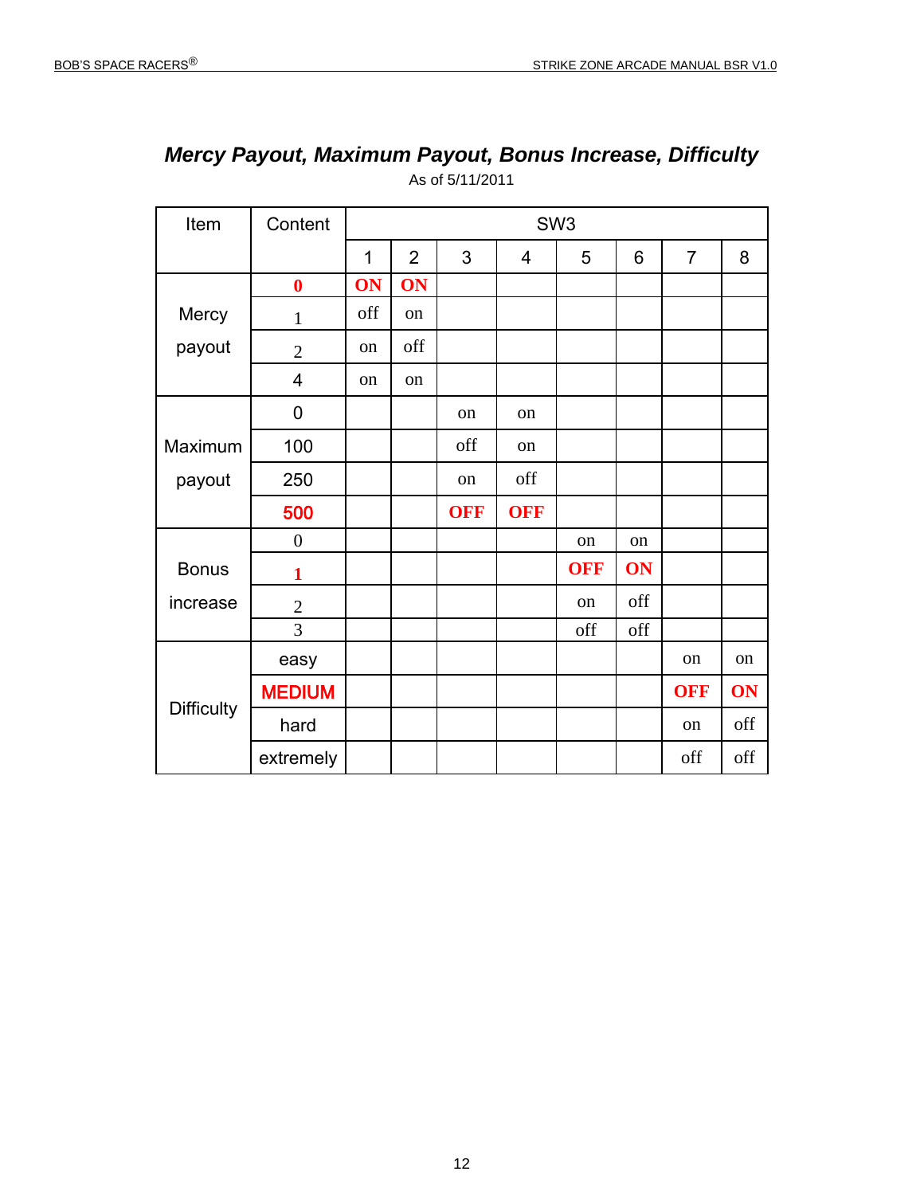| Item              | Content          |             |                |            | SW <sub>3</sub> |            |     |                |     |
|-------------------|------------------|-------------|----------------|------------|-----------------|------------|-----|----------------|-----|
|                   |                  | $\mathbf 1$ | $\overline{2}$ | 3          | $\overline{4}$  | 5          | 6   | $\overline{7}$ | 8   |
|                   | $\boldsymbol{0}$ | ON          | ON             |            |                 |            |     |                |     |
| Mercy             | $\mathbf{1}$     | off         | on             |            |                 |            |     |                |     |
| payout            | $\overline{2}$   | on          | off            |            |                 |            |     |                |     |
|                   | 4                | on          | on             |            |                 |            |     |                |     |
|                   | 0                |             |                | on         | on              |            |     |                |     |
| Maximum           | 100              |             |                | off        | on              |            |     |                |     |
| payout            | 250              |             |                | on         | off             |            |     |                |     |
|                   | 500              |             |                | <b>OFF</b> | <b>OFF</b>      |            |     |                |     |
|                   | $\overline{0}$   |             |                |            |                 | on         | on  |                |     |
| <b>Bonus</b>      | $\mathbf{1}$     |             |                |            |                 | <b>OFF</b> | ON  |                |     |
| increase          | $\overline{2}$   |             |                |            |                 | on         | off |                |     |
|                   | 3                |             |                |            |                 | off        | off |                |     |
|                   | easy             |             |                |            |                 |            |     | on             | on  |
|                   | <b>MEDIUM</b>    |             |                |            |                 |            |     | <b>OFF</b>     | ON  |
| <b>Difficulty</b> | hard             |             |                |            |                 |            |     | on             | off |
|                   | extremely        |             |                |            |                 |            |     | off            | off |

# <span id="page-11-0"></span>*Mercy Payout, Maximum Payout, Bonus Increase, Difficulty* As of 5/11/2011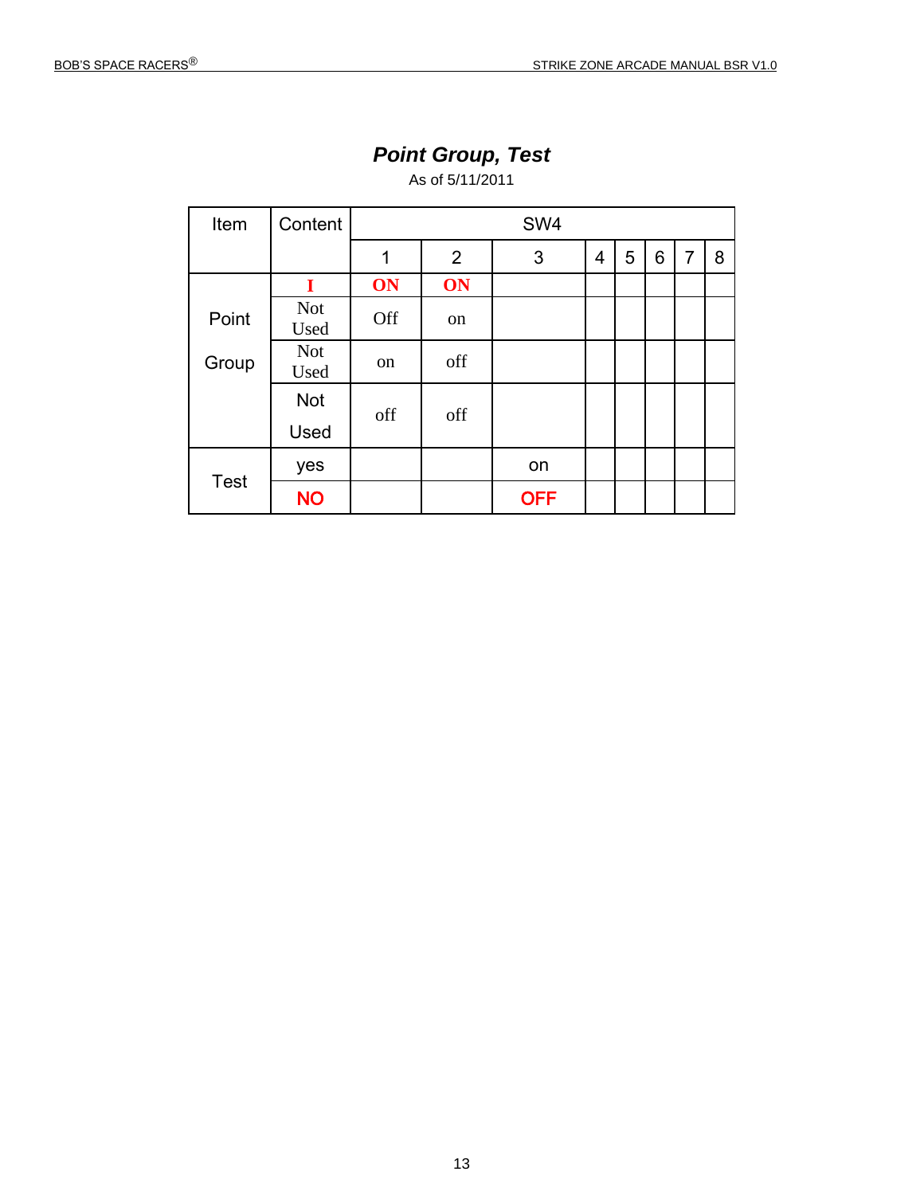<span id="page-12-0"></span>

| Item        | Content            |     |     | SW4        |   |   |   |                |   |
|-------------|--------------------|-----|-----|------------|---|---|---|----------------|---|
|             |                    | 1   | 2   | 3          | 4 | 5 | 6 | $\overline{7}$ | 8 |
|             |                    | ON  | ON  |            |   |   |   |                |   |
| Point       | <b>Not</b><br>Used | Off | on  |            |   |   |   |                |   |
| Group       | <b>Not</b><br>Used | on  | off |            |   |   |   |                |   |
|             | <b>Not</b><br>Used | off | off |            |   |   |   |                |   |
|             | yes                |     |     | on         |   |   |   |                |   |
| <b>Test</b> | <b>NO</b>          |     |     | <b>OFF</b> |   |   |   |                |   |

# *Point Group, Test*

As of 5/11/2011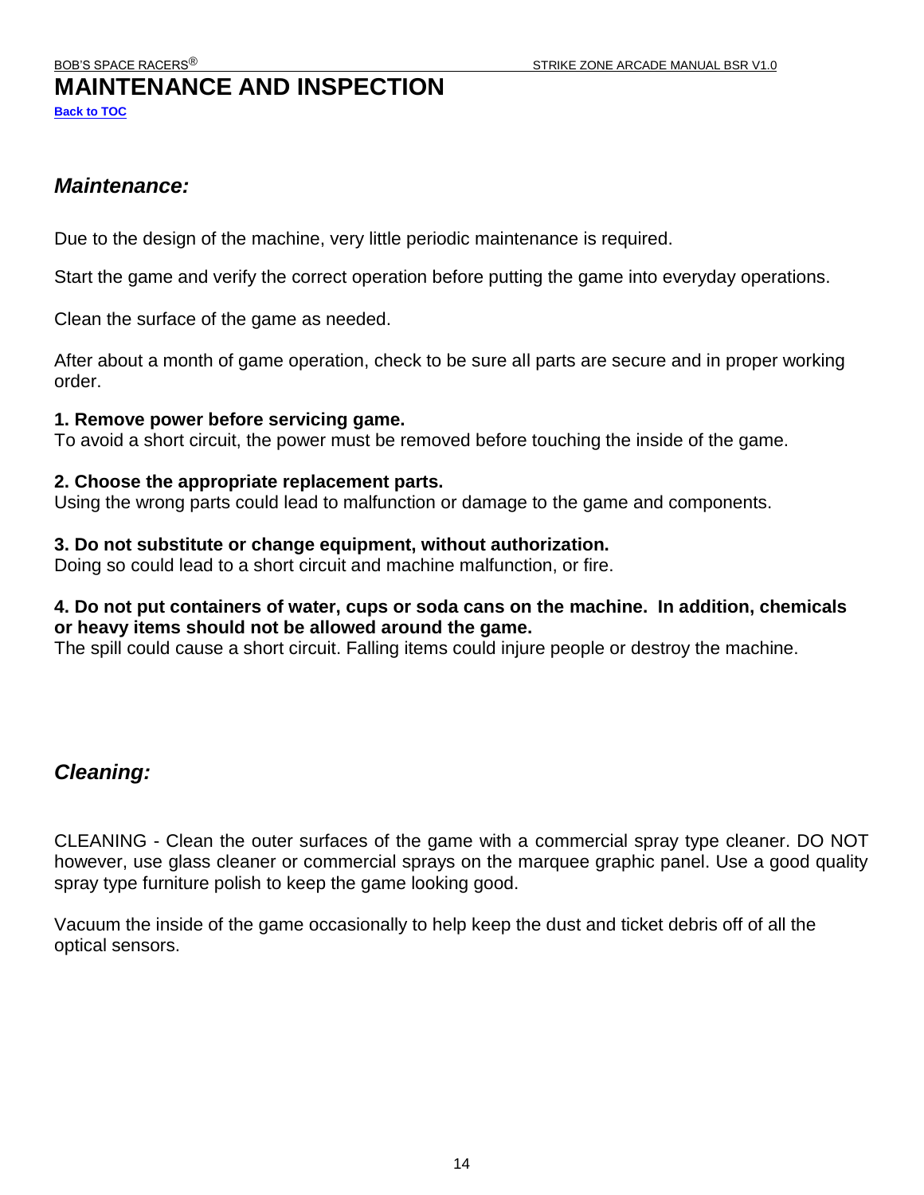# <span id="page-13-0"></span>**MAINTENANCE AND INSPECTION**

**[Back to TOC](#page-0-0)**

### <span id="page-13-1"></span>*Maintenance:*

Due to the design of the machine, very little periodic maintenance is required.

Start the game and verify the correct operation before putting the game into everyday operations.

Clean the surface of the game as needed.

After about a month of game operation, check to be sure all parts are secure and in proper working order.

#### **1. Remove power before servicing game.**

To avoid a short circuit, the power must be removed before touching the inside of the game.

#### **2. Choose the appropriate replacement parts.**

Using the wrong parts could lead to malfunction or damage to the game and components.

#### **3. Do not substitute or change equipment, without authorization.**

Doing so could lead to a short circuit and machine malfunction, or fire.

#### **4. Do not put containers of water, cups or soda cans on the machine. In addition, chemicals or heavy items should not be allowed around the game.**

The spill could cause a short circuit. Falling items could injure people or destroy the machine.

## <span id="page-13-2"></span>*Cleaning:*

CLEANING - Clean the outer surfaces of the game with a commercial spray type cleaner. DO NOT however, use glass cleaner or commercial sprays on the marquee graphic panel. Use a good quality spray type furniture polish to keep the game looking good.

Vacuum the inside of the game occasionally to help keep the dust and ticket debris off of all the optical sensors.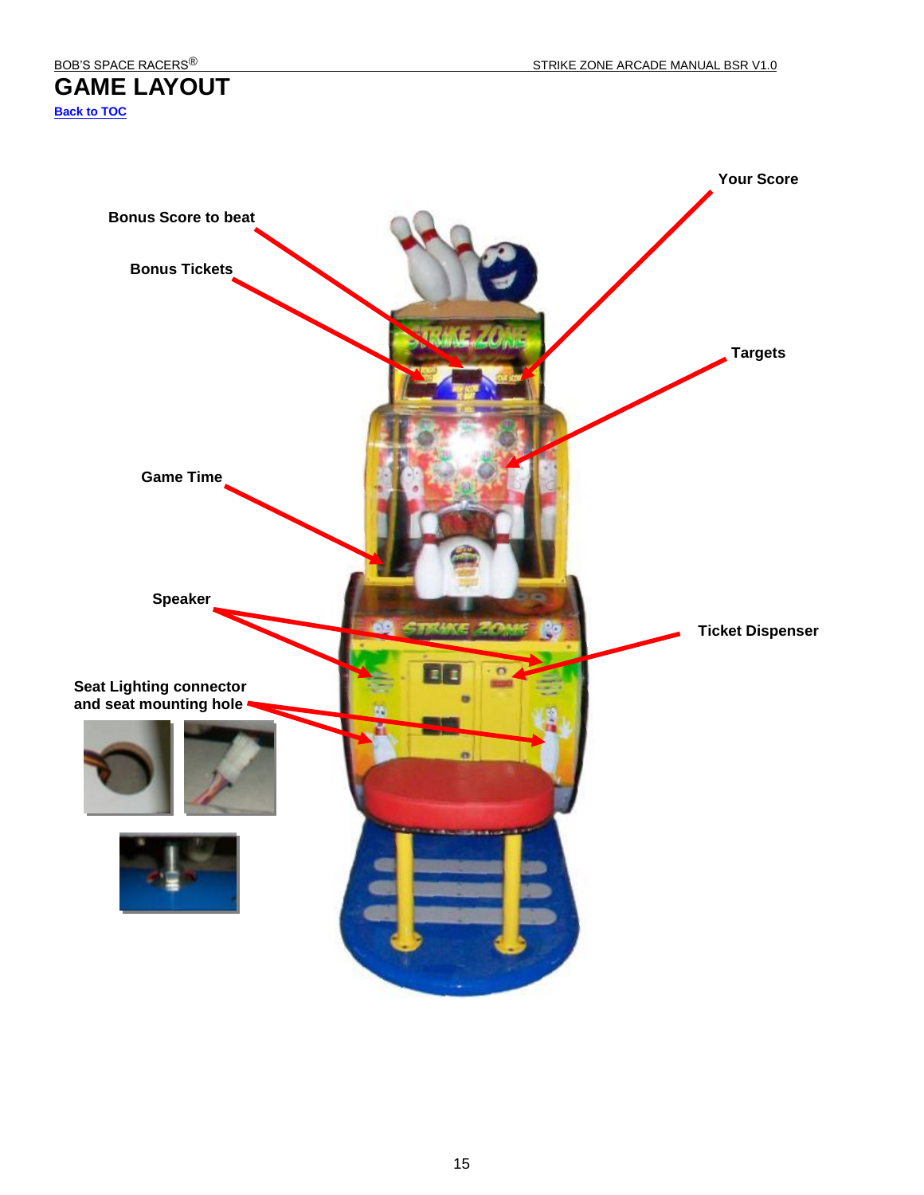<span id="page-14-0"></span>

# **GOB'S SPACE RACERS<sup>®</sup><br>GAME LAYOUT**

**[Back to TOC](#page-0-0)**

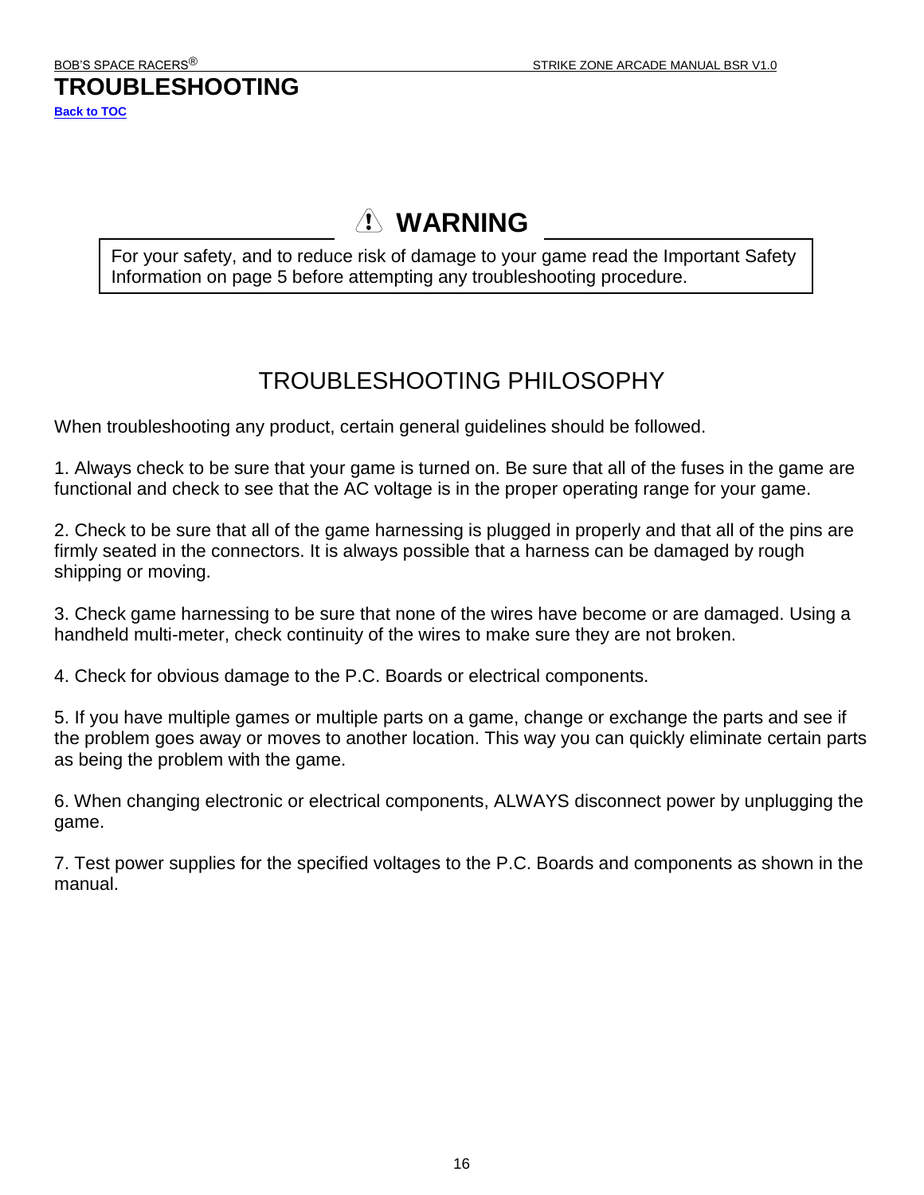# <span id="page-15-0"></span>**TROUBLESHOOTING**

**[Back to TOC](#page-0-0)**

# **WARNING**

For your safety, and to reduce risk of damage to your game read the Important Safety Information on page 5 before attempting any troubleshooting procedure.

# TROUBLESHOOTING PHILOSOPHY

When troubleshooting any product, certain general guidelines should be followed.

1. Always check to be sure that your game is turned on. Be sure that all of the fuses in the game are functional and check to see that the AC voltage is in the proper operating range for your game.

2. Check to be sure that all of the game harnessing is plugged in properly and that all of the pins are firmly seated in the connectors. It is always possible that a harness can be damaged by rough shipping or moving.

3. Check game harnessing to be sure that none of the wires have become or are damaged. Using a handheld multi-meter, check continuity of the wires to make sure they are not broken.

4. Check for obvious damage to the P.C. Boards or electrical components.

5. If you have multiple games or multiple parts on a game, change or exchange the parts and see if the problem goes away or moves to another location. This way you can quickly eliminate certain parts as being the problem with the game.

6. When changing electronic or electrical components, ALWAYS disconnect power by unplugging the game.

7. Test power supplies for the specified voltages to the P.C. Boards and components as shown in the manual.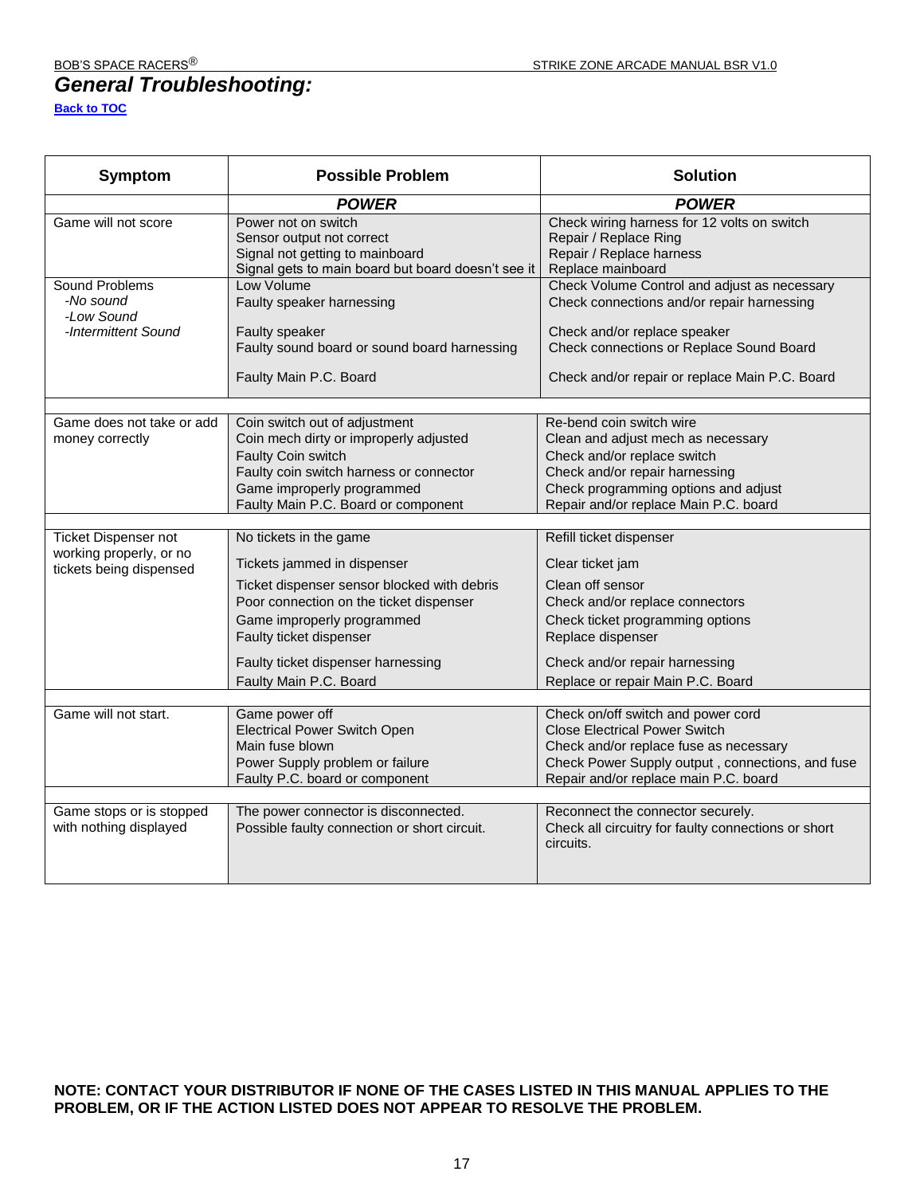# <span id="page-16-0"></span>*General Troubleshooting:*

#### **[Back to TOC](#page-0-0)**

| Symptom                                            | <b>Possible Problem</b>                                                               | <b>Solution</b>                                                                           |
|----------------------------------------------------|---------------------------------------------------------------------------------------|-------------------------------------------------------------------------------------------|
|                                                    | <b>POWER</b>                                                                          | <b>POWER</b>                                                                              |
| Game will not score                                | Power not on switch                                                                   | Check wiring harness for 12 volts on switch                                               |
|                                                    | Sensor output not correct                                                             | Repair / Replace Ring                                                                     |
|                                                    | Signal not getting to mainboard<br>Signal gets to main board but board doesn't see it | Repair / Replace harness<br>Replace mainboard                                             |
| Sound Problems                                     | Low Volume                                                                            | Check Volume Control and adjust as necessary                                              |
| -No sound                                          | Faulty speaker harnessing                                                             | Check connections and/or repair harnessing                                                |
| -Low Sound                                         |                                                                                       |                                                                                           |
| -Intermittent Sound                                | Faulty speaker                                                                        | Check and/or replace speaker                                                              |
|                                                    | Faulty sound board or sound board harnessing                                          | Check connections or Replace Sound Board                                                  |
|                                                    | Faulty Main P.C. Board                                                                | Check and/or repair or replace Main P.C. Board                                            |
|                                                    |                                                                                       |                                                                                           |
| Game does not take or add                          | Coin switch out of adjustment                                                         | Re-bend coin switch wire                                                                  |
| money correctly                                    | Coin mech dirty or improperly adjusted                                                | Clean and adjust mech as necessary                                                        |
|                                                    | Faulty Coin switch                                                                    | Check and/or replace switch                                                               |
|                                                    | Faulty coin switch harness or connector                                               | Check and/or repair harnessing                                                            |
|                                                    | Game improperly programmed                                                            | Check programming options and adjust                                                      |
|                                                    | Faulty Main P.C. Board or component                                                   | Repair and/or replace Main P.C. board                                                     |
|                                                    |                                                                                       |                                                                                           |
| Ticket Dispenser not                               | No tickets in the game                                                                | Refill ticket dispenser                                                                   |
| working properly, or no<br>tickets being dispensed | Tickets jammed in dispenser                                                           | Clear ticket jam                                                                          |
|                                                    | Ticket dispenser sensor blocked with debris                                           | Clean off sensor                                                                          |
|                                                    | Poor connection on the ticket dispenser                                               | Check and/or replace connectors                                                           |
|                                                    | Game improperly programmed                                                            | Check ticket programming options                                                          |
|                                                    | Faulty ticket dispenser                                                               | Replace dispenser                                                                         |
|                                                    | Faulty ticket dispenser harnessing                                                    | Check and/or repair harnessing                                                            |
|                                                    | Faulty Main P.C. Board                                                                | Replace or repair Main P.C. Board                                                         |
|                                                    |                                                                                       |                                                                                           |
| Game will not start.                               | Game power off                                                                        | Check on/off switch and power cord                                                        |
|                                                    | <b>Electrical Power Switch Open</b>                                                   | <b>Close Electrical Power Switch</b>                                                      |
|                                                    | Main fuse blown                                                                       | Check and/or replace fuse as necessary                                                    |
|                                                    | Power Supply problem or failure<br>Faulty P.C. board or component                     | Check Power Supply output, connections, and fuse<br>Repair and/or replace main P.C. board |
|                                                    |                                                                                       |                                                                                           |
| Game stops or is stopped                           | The power connector is disconnected.                                                  | Reconnect the connector securely.                                                         |
| with nothing displayed                             | Possible faulty connection or short circuit.                                          | Check all circuitry for faulty connections or short<br>circuits.                          |

**NOTE: CONTACT YOUR DISTRIBUTOR IF NONE OF THE CASES LISTED IN THIS MANUAL APPLIES TO THE PROBLEM, OR IF THE ACTION LISTED DOES NOT APPEAR TO RESOLVE THE PROBLEM.**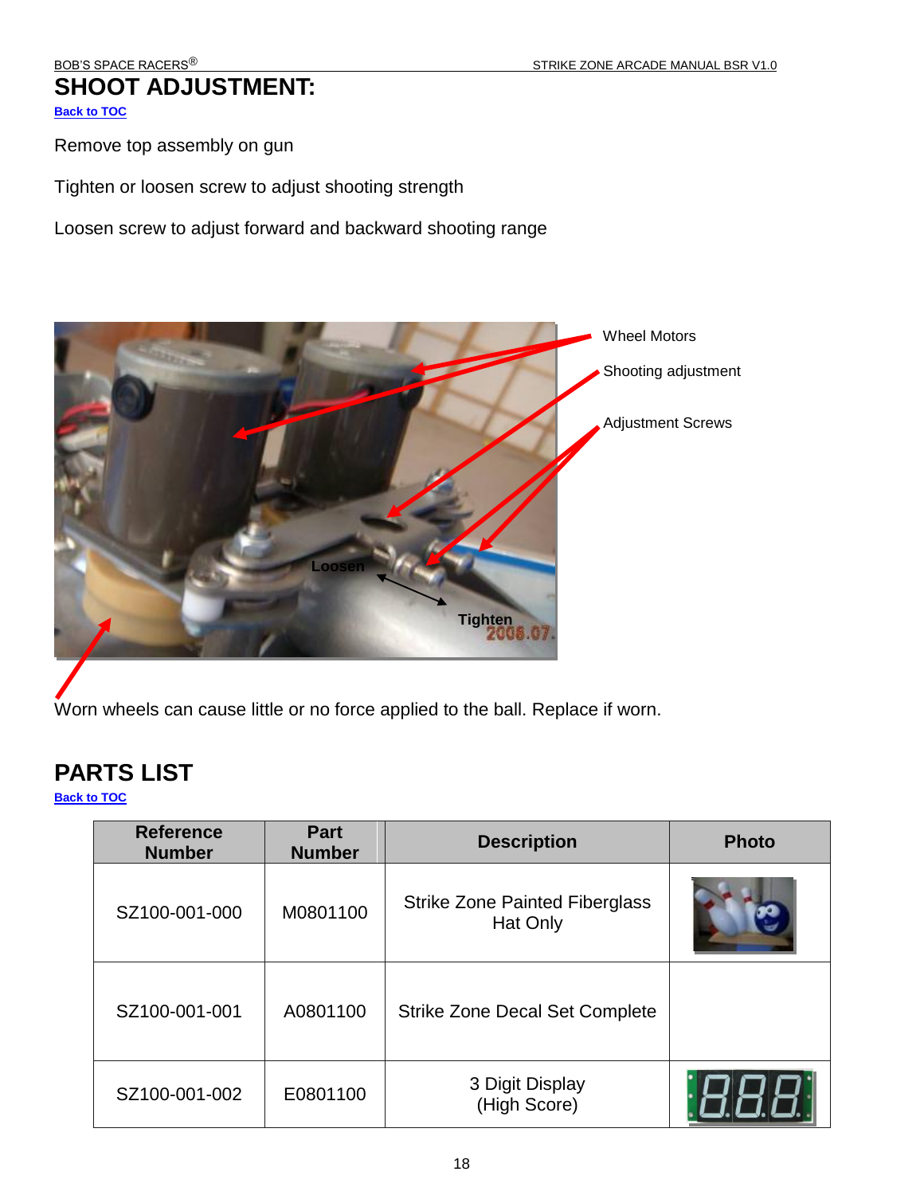# <span id="page-17-0"></span>**SHOOT ADJUSTMENT:**

**[Back to TOC](#page-0-0)**

Remove top assembly on gun

Tighten or loosen screw to adjust shooting strength

Loosen screw to adjust forward and backward shooting range



Worn wheels can cause little or no force applied to the ball. Replace if worn.

# <span id="page-17-1"></span>**PARTS LIST**

**[Back to TOC](#page-0-0)**

| <b>Reference</b><br><b>Number</b> | <b>Part</b><br><b>Number</b> | <b>Description</b>                                | <b>Photo</b> |
|-----------------------------------|------------------------------|---------------------------------------------------|--------------|
| SZ100-001-000                     | M0801100                     | <b>Strike Zone Painted Fiberglass</b><br>Hat Only |              |
| SZ100-001-001                     | A0801100                     | <b>Strike Zone Decal Set Complete</b>             |              |
| SZ100-001-002                     | E0801100                     | 3 Digit Display<br>(High Score)                   |              |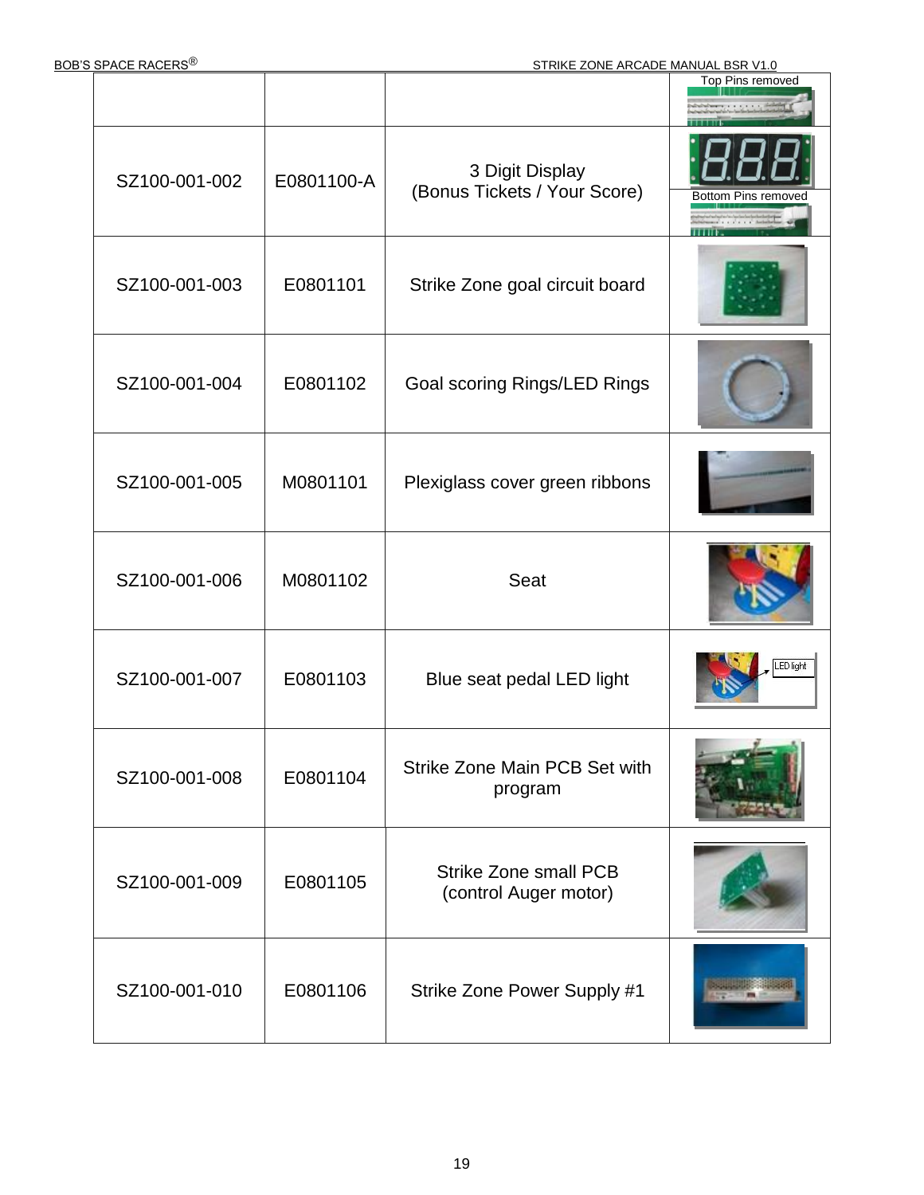|  | <b>BOB'S SPACE RACERS<sup>®</sup></b> |            | STRIKE ZONE ARCADE MANUAL BSR V1.0                    |                     |  |  |
|--|---------------------------------------|------------|-------------------------------------------------------|---------------------|--|--|
|  |                                       |            |                                                       | Top Pins removed    |  |  |
|  | SZ100-001-002                         | E0801100-A | 3 Digit Display<br>(Bonus Tickets / Your Score)       | Bottom Pins removed |  |  |
|  | SZ100-001-003                         | E0801101   | Strike Zone goal circuit board                        |                     |  |  |
|  | SZ100-001-004                         | E0801102   | Goal scoring Rings/LED Rings                          |                     |  |  |
|  | SZ100-001-005                         | M0801101   | Plexiglass cover green ribbons                        |                     |  |  |
|  | SZ100-001-006                         | M0801102   | <b>Seat</b>                                           |                     |  |  |
|  | SZ100-001-007                         | E0801103   | Blue seat pedal LED light                             | <b>LED light</b>    |  |  |
|  | SZ100-001-008                         | E0801104   | Strike Zone Main PCB Set with<br>program              |                     |  |  |
|  | SZ100-001-009                         | E0801105   | <b>Strike Zone small PCB</b><br>(control Auger motor) |                     |  |  |
|  | SZ100-001-010                         | E0801106   | Strike Zone Power Supply #1                           |                     |  |  |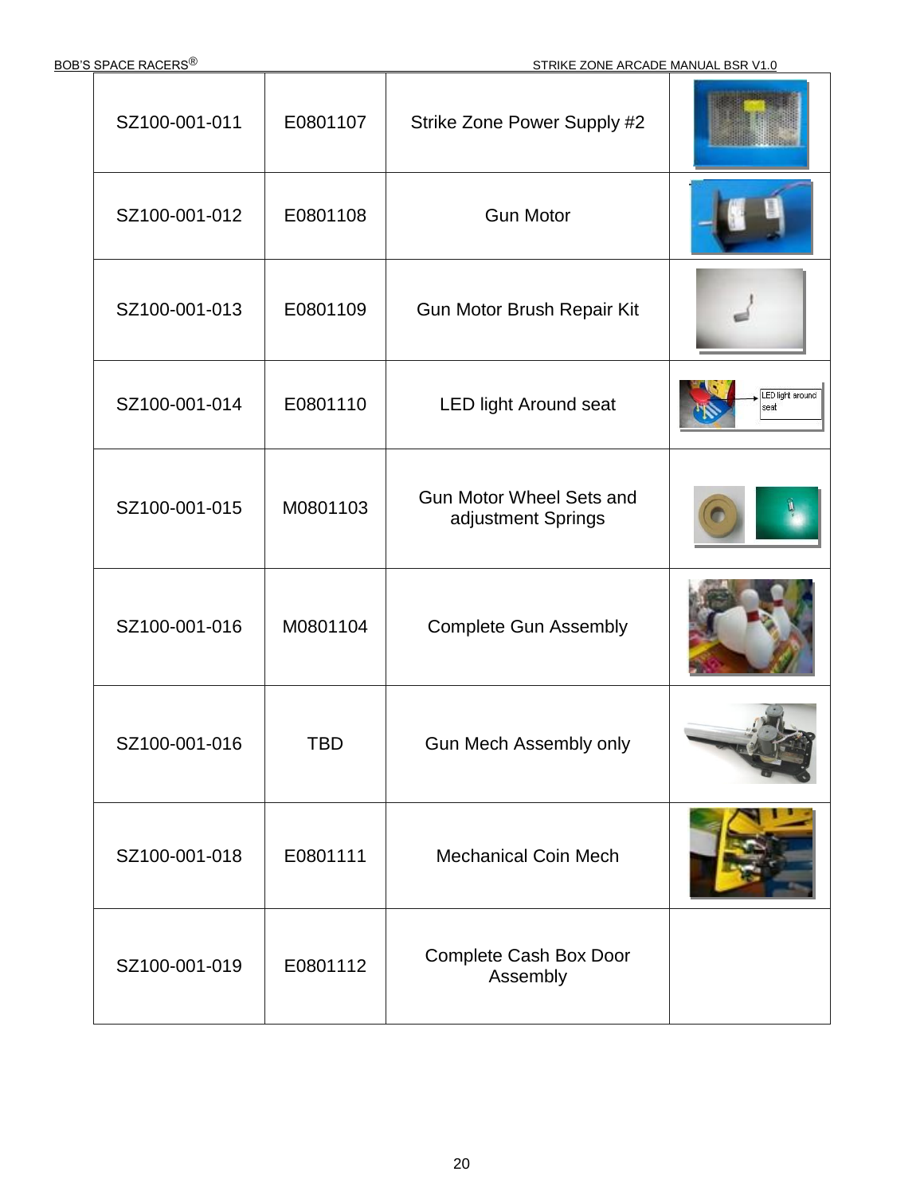| <b>BOB'S SPACE RACERS<sup>®</sup></b> |            | STRIKE ZONE ARCADE MANUAL BSR V1.0                    |                         |  |  |
|---------------------------------------|------------|-------------------------------------------------------|-------------------------|--|--|
| SZ100-001-011                         | E0801107   | Strike Zone Power Supply #2                           |                         |  |  |
| SZ100-001-012                         | E0801108   | <b>Gun Motor</b>                                      |                         |  |  |
| SZ100-001-013                         | E0801109   | Gun Motor Brush Repair Kit                            |                         |  |  |
| SZ100-001-014                         | E0801110   | <b>LED light Around seat</b>                          | ED light around<br>seat |  |  |
| SZ100-001-015                         | M0801103   | <b>Gun Motor Wheel Sets and</b><br>adjustment Springs |                         |  |  |
| SZ100-001-016                         | M0801104   | <b>Complete Gun Assembly</b>                          |                         |  |  |
| SZ100-001-016                         | <b>TBD</b> | <b>Gun Mech Assembly only</b>                         |                         |  |  |
| SZ100-001-018                         | E0801111   | <b>Mechanical Coin Mech</b>                           |                         |  |  |
| SZ100-001-019                         | E0801112   | Complete Cash Box Door<br>Assembly                    |                         |  |  |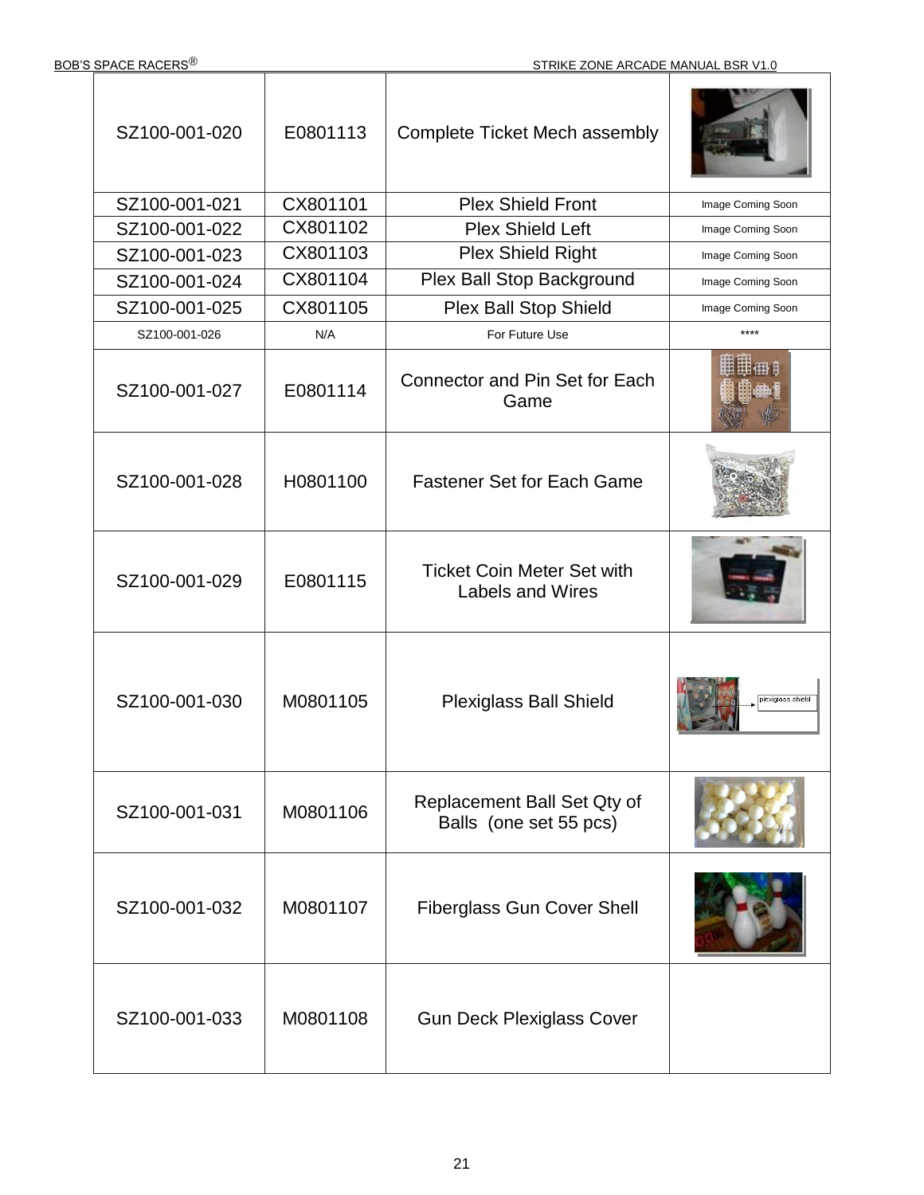| SZ100-001-020 | E0801113 | Complete Ticket Mech assembly                                |                   |
|---------------|----------|--------------------------------------------------------------|-------------------|
| SZ100-001-021 | CX801101 | <b>Plex Shield Front</b>                                     | Image Coming Soon |
| SZ100-001-022 | CX801102 | <b>Plex Shield Left</b>                                      | Image Coming Soon |
| SZ100-001-023 | CX801103 | <b>Plex Shield Right</b>                                     | Image Coming Soon |
| SZ100-001-024 | CX801104 | Plex Ball Stop Background                                    | Image Coming Soon |
| SZ100-001-025 | CX801105 | <b>Plex Ball Stop Shield</b>                                 | Image Coming Soon |
| SZ100-001-026 | N/A      | For Future Use                                               | ****              |
| SZ100-001-027 | E0801114 | Connector and Pin Set for Each<br>Game                       |                   |
| SZ100-001-028 | H0801100 | <b>Fastener Set for Each Game</b>                            |                   |
| SZ100-001-029 | E0801115 | <b>Ticket Coin Meter Set with</b><br><b>Labels and Wires</b> |                   |
| SZ100-001-030 | M0801105 | <b>Plexiglass Ball Shield</b>                                | plexiglass shield |
| SZ100-001-031 | M0801106 | Replacement Ball Set Qty of<br>Balls (one set 55 pcs)        |                   |
| SZ100-001-032 | M0801107 | <b>Fiberglass Gun Cover Shell</b>                            |                   |
| SZ100-001-033 | M0801108 | <b>Gun Deck Plexiglass Cover</b>                             |                   |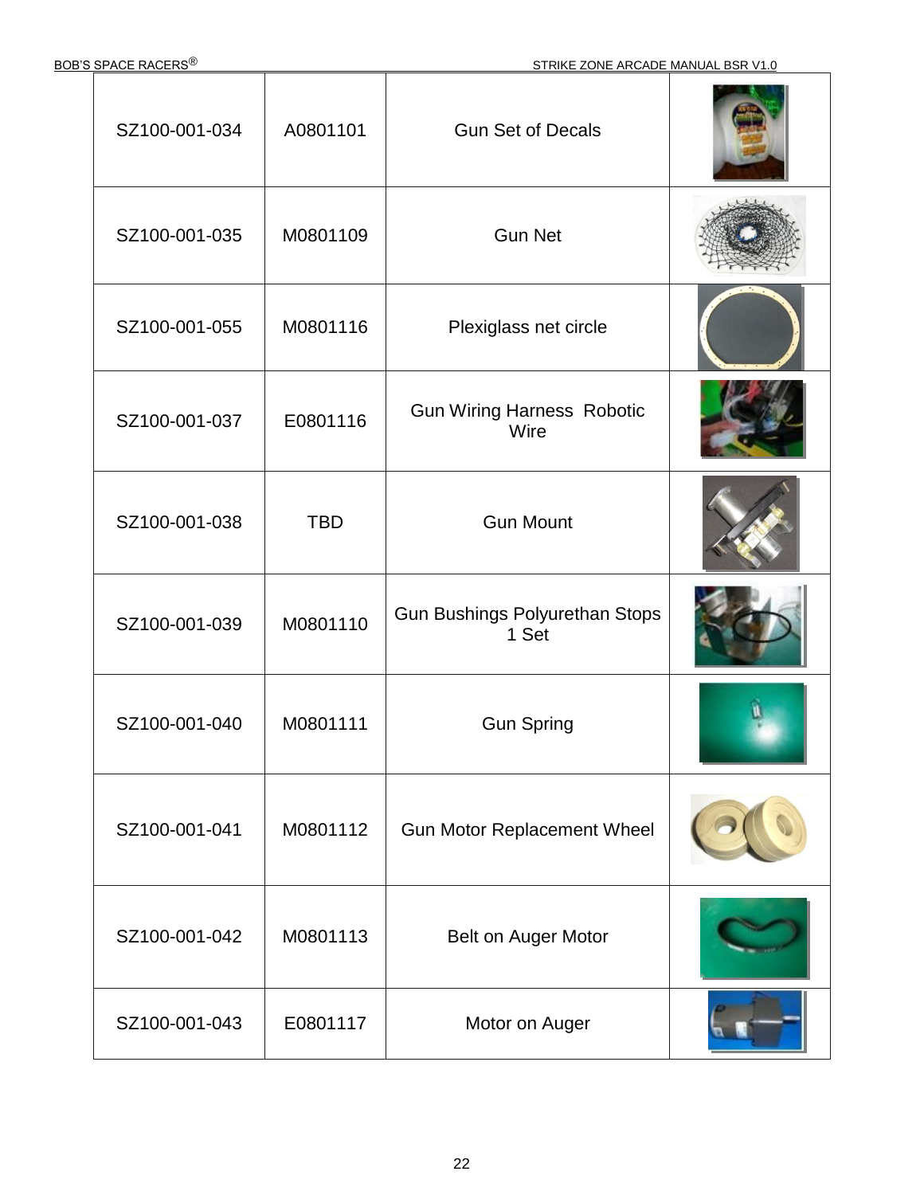| SZ100-001-034 | A0801101   | <b>Gun Set of Decals</b>                  |  |
|---------------|------------|-------------------------------------------|--|
| SZ100-001-035 | M0801109   | <b>Gun Net</b>                            |  |
| SZ100-001-055 | M0801116   | Plexiglass net circle                     |  |
| SZ100-001-037 | E0801116   | <b>Gun Wiring Harness Robotic</b><br>Wire |  |
| SZ100-001-038 | <b>TBD</b> | <b>Gun Mount</b>                          |  |
| SZ100-001-039 | M0801110   | Gun Bushings Polyurethan Stops<br>1 Set   |  |
| SZ100-001-040 | M0801111   | <b>Gun Spring</b>                         |  |
| SZ100-001-041 | M0801112   | <b>Gun Motor Replacement Wheel</b>        |  |
| SZ100-001-042 | M0801113   | Belt on Auger Motor                       |  |
| SZ100-001-043 | E0801117   | Motor on Auger                            |  |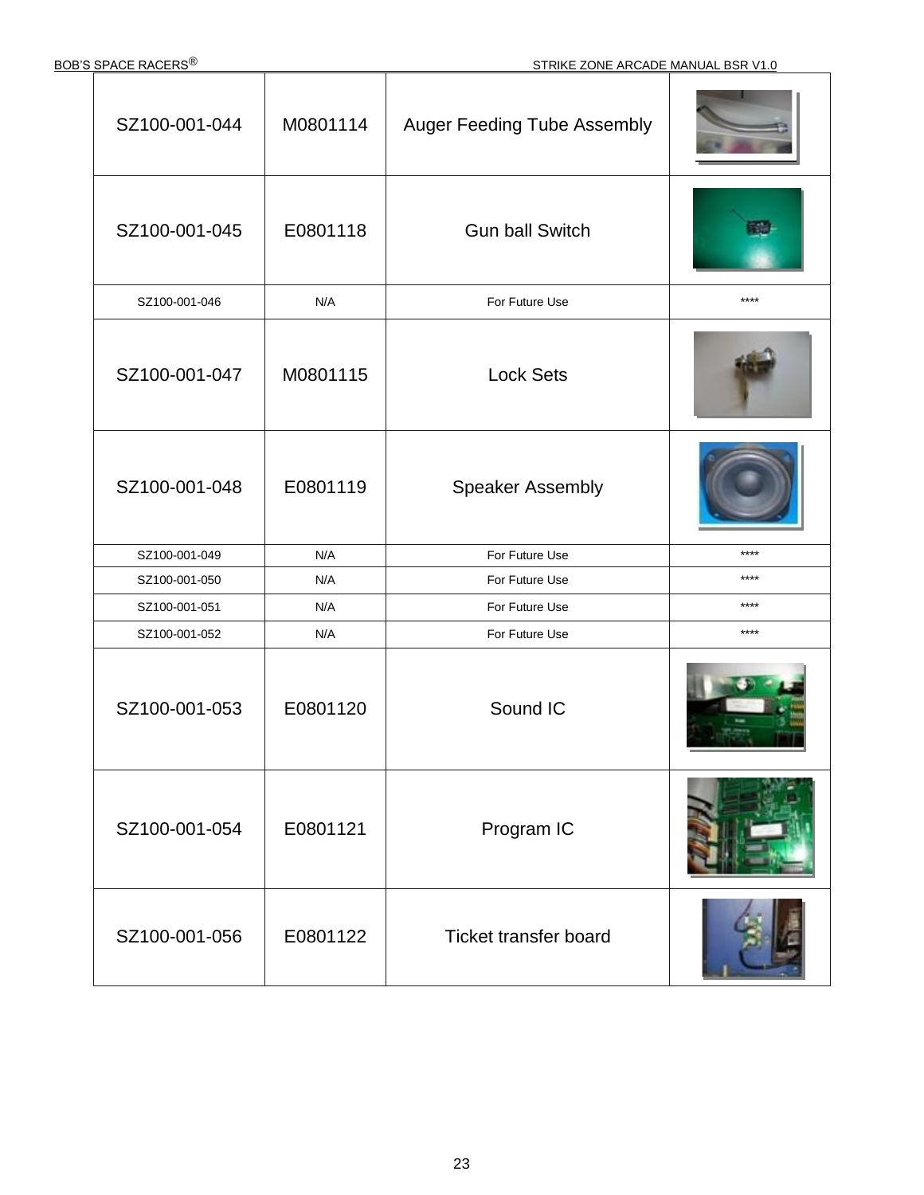| SZ100-001-044 | M0801114 | Auger Feeding Tube Assembly  |        |
|---------------|----------|------------------------------|--------|
| SZ100-001-045 | E0801118 | <b>Gun ball Switch</b>       |        |
| SZ100-001-046 | N/A      | For Future Use               | $***$  |
| SZ100-001-047 | M0801115 | <b>Lock Sets</b>             |        |
| SZ100-001-048 | E0801119 | <b>Speaker Assembly</b>      |        |
| SZ100-001-049 | N/A      | For Future Use               | $****$ |
| SZ100-001-050 | N/A      | For Future Use               | $****$ |
| SZ100-001-051 | N/A      | For Future Use               | $****$ |
| SZ100-001-052 | N/A      | For Future Use               | $***$  |
| SZ100-001-053 | E0801120 | Sound IC                     |        |
| SZ100-001-054 | E0801121 | Program IC                   |        |
| SZ100-001-056 | E0801122 | <b>Ticket transfer board</b> |        |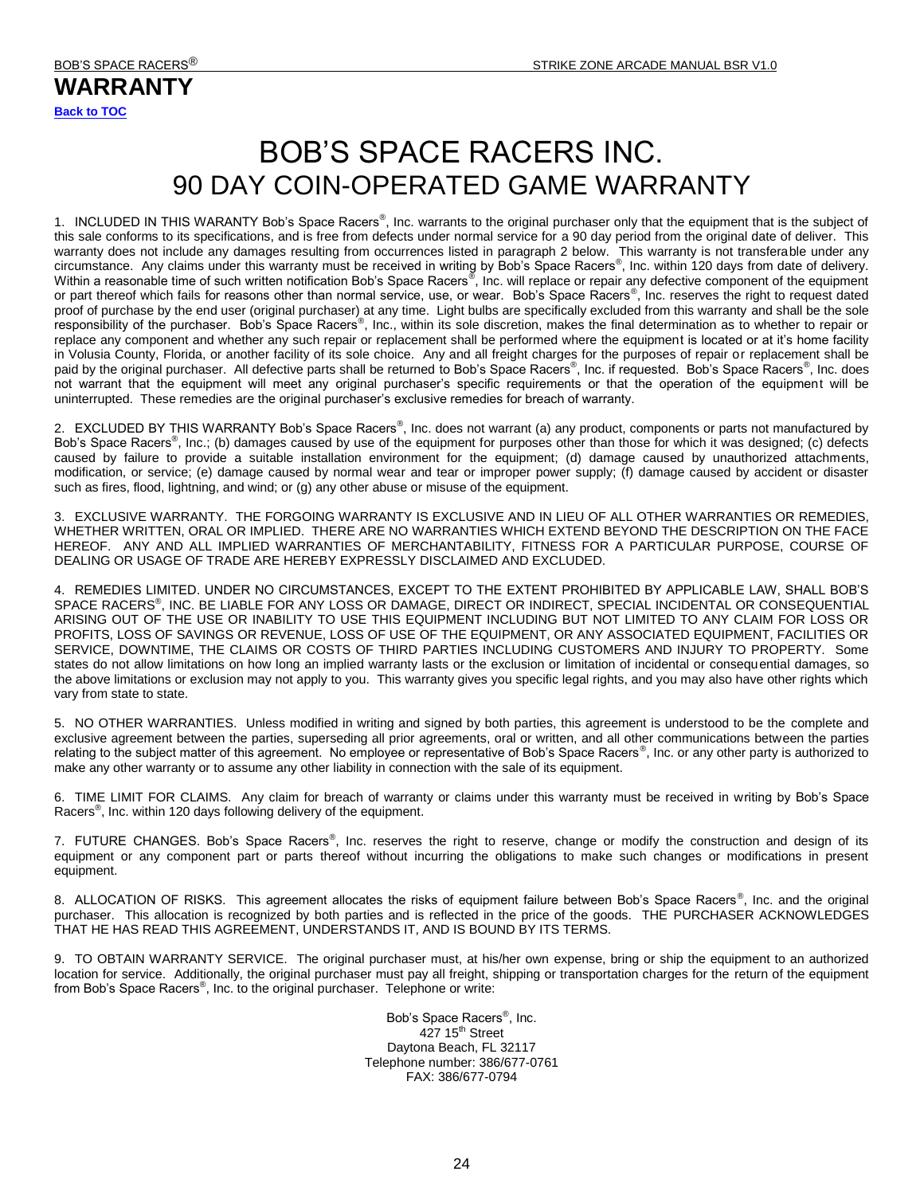<span id="page-23-0"></span>**[Back to TOC](#page-0-0)**

# BOB'S SPACE RACERS INC. 90 DAY COIN-OPERATED GAME WARRANTY

1. INCLUDED IN THIS WARANTY Bob's Space Racers<sup>®</sup>, Inc. warrants to the original purchaser only that the equipment that is the subject of this sale conforms to its specifications, and is free from defects under normal service for a 90 day period from the original date of deliver. This warranty does not include any damages resulting from occurrences listed in paragraph 2 below. This warranty is not transferable under any circumstance. Any claims under this warranty must be received in writing by Bob's Space Racers<sup>®</sup>, Inc. within 120 days from date of delivery. Within a reasonable time of such written notification Bob's Space Racers®, Inc. will replace or repair any defective component of the equipment or part thereof which fails for reasons other than normal service, use, or wear. Bob's Space Racers®, Inc. reserves the right to request dated proof of purchase by the end user (original purchaser) at any time. Light bulbs are specifically excluded from this warranty and shall be the sole .<br>responsibility of the purchaser. Bob's Space Racers®, Inc., within its sole discretion, makes the final determination as to whether to repair or replace any component and whether any such repair or replacement shall be performed where the equipment is located or at it's home facility in Volusia County, Florida, or another facility of its sole choice. Any and all freight charges for the purposes of repair or replacement shall be paid by the original purchaser. All defective parts shall be returned to Bob's Space Racers®, Inc. if requested. Bob's Space Racers®, Inc. does not warrant that the equipment will meet any original purchaser's specific requirements or that the operation of the equipment will be uninterrupted. These remedies are the original purchaser's exclusive remedies for breach of warranty.

2. EXCLUDED BY THIS WARRANTY Bob's Space Racers<sup>®</sup>, Inc. does not warrant (a) any product, components or parts not manufactured by Bob's Space Racers®, Inc.; (b) damages caused by use of the equipment for purposes other than those for which it was designed; (c) defects caused by failure to provide a suitable installation environment for the equipment; (d) damage caused by unauthorized attachments, modification, or service; (e) damage caused by normal wear and tear or improper power supply; (f) damage caused by accident or disaster such as fires, flood, lightning, and wind; or (g) any other abuse or misuse of the equipment.

3. EXCLUSIVE WARRANTY. THE FORGOING WARRANTY IS EXCLUSIVE AND IN LIEU OF ALL OTHER WARRANTIES OR REMEDIES, WHETHER WRITTEN, ORAL OR IMPLIED. THERE ARE NO WARRANTIES WHICH EXTEND BEYOND THE DESCRIPTION ON THE FACE HEREOF. ANY AND ALL IMPLIED WARRANTIES OF MERCHANTABILITY, FITNESS FOR A PARTICULAR PURPOSE, COURSE OF DEALING OR USAGE OF TRADE ARE HEREBY EXPRESSLY DISCLAIMED AND EXCLUDED.

4. REMEDIES LIMITED. UNDER NO CIRCUMSTANCES, EXCEPT TO THE EXTENT PROHIBITED BY APPLICABLE LAW, SHALL BOB'S SPACE RACERS® , INC. BE LIABLE FOR ANY LOSS OR DAMAGE, DIRECT OR INDIRECT, SPECIAL INCIDENTAL OR CONSEQUENTIAL ARISING OUT OF THE USE OR INABILITY TO USE THIS EQUIPMENT INCLUDING BUT NOT LIMITED TO ANY CLAIM FOR LOSS OR PROFITS, LOSS OF SAVINGS OR REVENUE, LOSS OF USE OF THE EQUIPMENT, OR ANY ASSOCIATED EQUIPMENT, FACILITIES OR SERVICE, DOWNTIME, THE CLAIMS OR COSTS OF THIRD PARTIES INCLUDING CUSTOMERS AND INJURY TO PROPERTY. Some states do not allow limitations on how long an implied warranty lasts or the exclusion or limitation of incidental or consequential damages, so the above limitations or exclusion may not apply to you. This warranty gives you specific legal rights, and you may also have other rights which vary from state to state.

5. NO OTHER WARRANTIES. Unless modified in writing and signed by both parties, this agreement is understood to be the complete and exclusive agreement between the parties, superseding all prior agreements, oral or written, and all other communications between the parties relating to the subject matter of this agreement. No employee or representative of Bob's Space Racers®, Inc. or any other party is authorized to make any other warranty or to assume any other liability in connection with the sale of its equipment.

6. TIME LIMIT FOR CLAIMS. Any claim for breach of warranty or claims under this warranty must be received in writing by Bob's Space Racers<sup>®</sup>, Inc. within 120 days following delivery of the equipment.

7. FUTURE CHANGES. Bob's Space Racers®, Inc. reserves the right to reserve, change or modify the construction and design of its equipment or any component part or parts thereof without incurring the obligations to make such changes or modifications in present equipment.

8. ALLOCATION OF RISKS. This agreement allocates the risks of equipment failure between Bob's Space Racers®, Inc. and the original purchaser. This allocation is recognized by both parties and is reflected in the price of the goods. THE PURCHASER ACKNOWLEDGES THAT HE HAS READ THIS AGREEMENT, UNDERSTANDS IT, AND IS BOUND BY ITS TERMS.

9. TO OBTAIN WARRANTY SERVICE. The original purchaser must, at his/her own expense, bring or ship the equipment to an authorized location for service. Additionally, the original purchaser must pay all freight, shipping or transportation charges for the return of the equipment from Bob's Space Racers<sup>®</sup>, Inc. to the original purchaser. Telephone or write:

> Bob's Space Racers<sup>®</sup>, Inc.  $427$  15<sup>th</sup> Street Daytona Beach, FL 32117 Telephone number: 386/677-0761 FAX: 386/677-0794